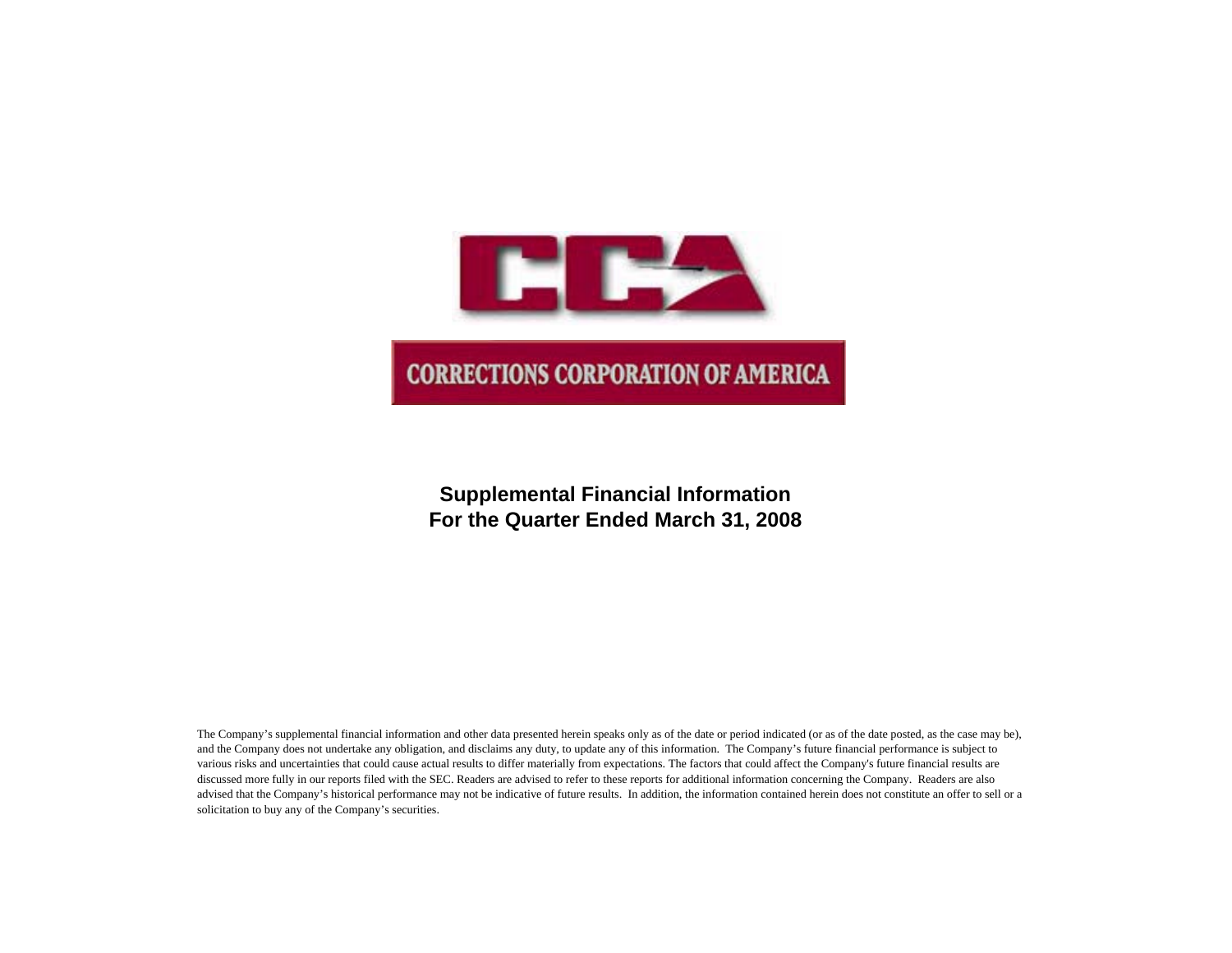

## **Supplemental Financial Information For the Quarter Ended March 31, 2008**

The Company's supplemental financial information and other data presented herein speaks only as of the date or period indicated (or as of the date posted, as the case may be), and the Company does not undertake any obligation, and disclaims any duty, to update any of this information. The Company's future financial performance is subject to various risks and uncertainties that could cause actual results to differ materially from expectations. The factors that could affect the Company's future financial results are discussed more fully in our reports filed with the SEC. Readers are advised to refer to these reports for additional information concerning the Company. Readers are also advised that the Company's historical performance may not be indicative of future results. In addition, the information contained herein does not constitute an offer to sell or a solicitation to buy any of the Company's securities.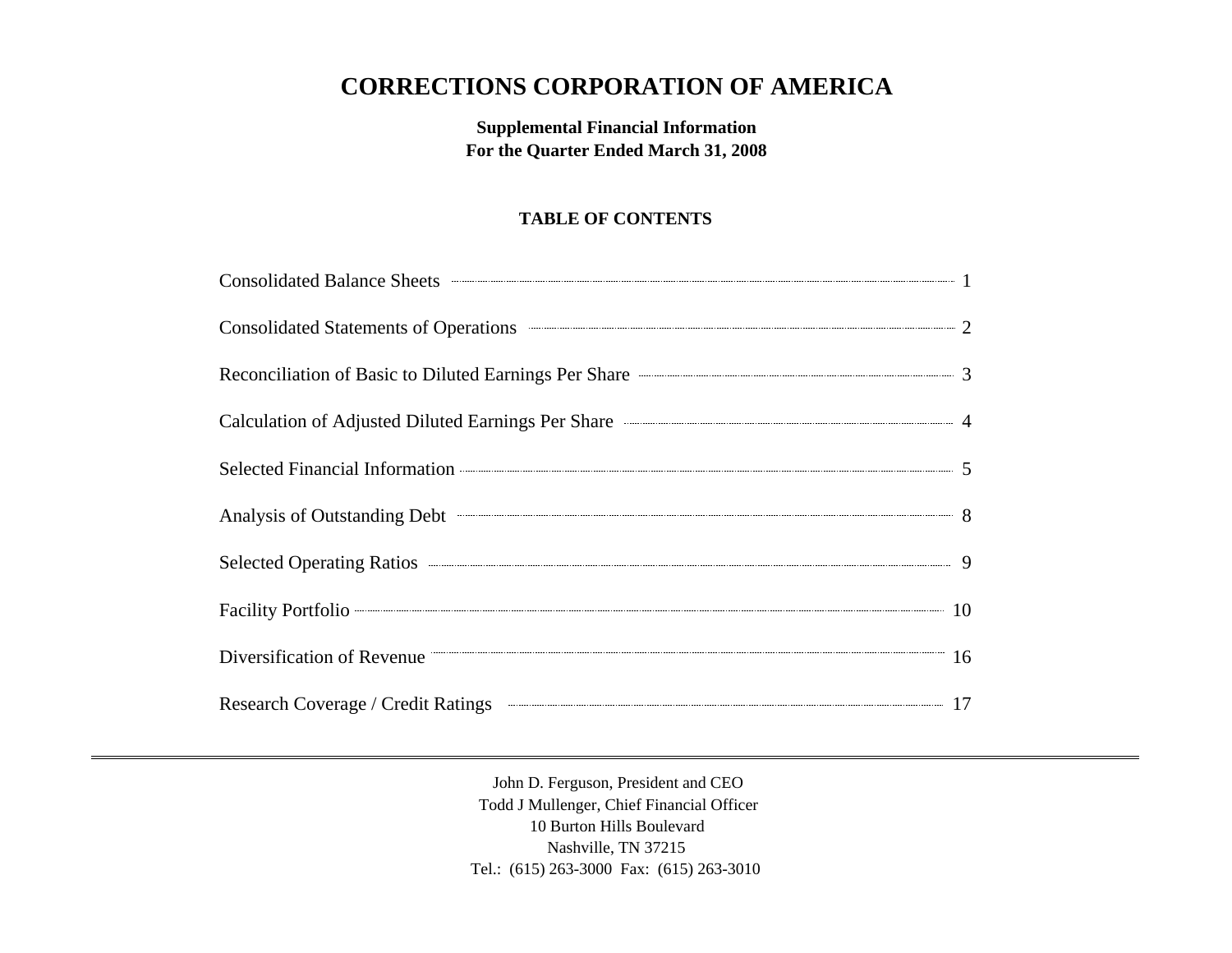# **CORRECTIONS CORPORATION OF AMERICA**

## **Supplemental Financial Information For the Quarter Ended March 31, 2008**

## **TABLE OF CONTENTS**

| Consolidated Balance Sheets <b>Consolidated Balance Sheets</b> 1                        |  |
|-----------------------------------------------------------------------------------------|--|
| Consolidated Statements of Operations <b>CONSUMER 2</b>                                 |  |
| Reconciliation of Basic to Diluted Earnings Per Share <b>Constanting Server Share</b> 3 |  |
| Calculation of Adjusted Diluted Earnings Per Share <b>Calculation</b> 4                 |  |
|                                                                                         |  |
| Analysis of Outstanding Debt 3                                                          |  |
|                                                                                         |  |
| Facility Portfolio 2008 10                                                              |  |
| Diversification of Revenue 16                                                           |  |
| Research Coverage / Credit Ratings <b>Communication of the Coverage 17</b>              |  |

John D. Ferguson, President and CEO Todd J Mullenger, Chief Financial Officer 10 Burton Hills Boulevard Nashville, TN 37215 Tel.: (615) 263-3000 Fax: (615) 263-3010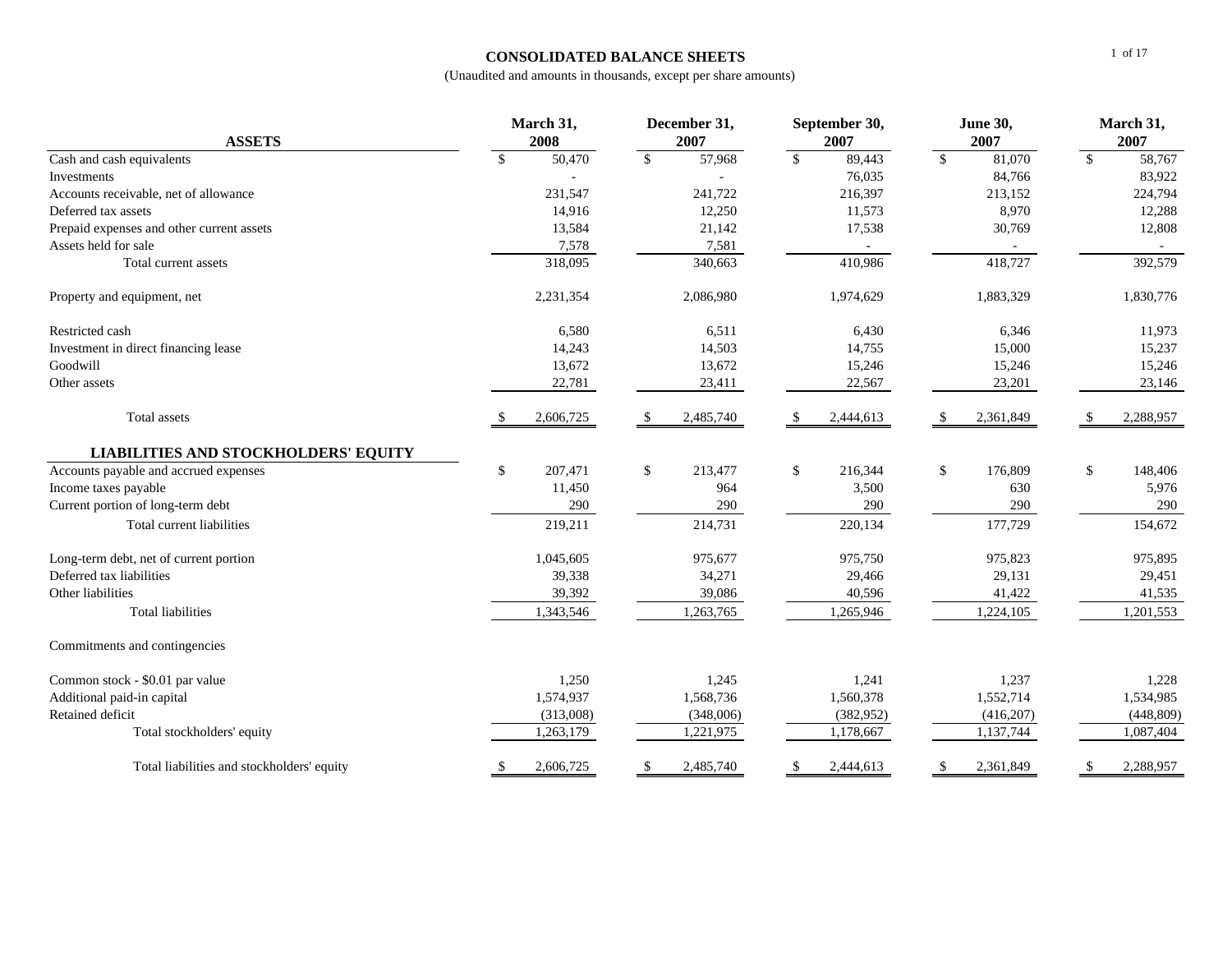## **CONSOLIDATED BALANCE SHEETS**

| <b>ASSETS</b>                               | March 31,<br>2008 |                | December 31,<br>2007 |           | September 30,<br>2007 |            | <b>June 30,</b><br>2007 |           | March 31,<br>2007 |            |
|---------------------------------------------|-------------------|----------------|----------------------|-----------|-----------------------|------------|-------------------------|-----------|-------------------|------------|
| Cash and cash equivalents                   | $\mathbb{S}$      | 50,470         | $\mathbb{S}$         | 57,968    | $\mathbb{S}$          | 89,443     | $\mathbb{S}$            | 81,070    | $\mathbb{S}$      | 58,767     |
| Investments                                 |                   | $\overline{a}$ |                      |           |                       | 76,035     |                         | 84,766    |                   | 83,922     |
| Accounts receivable, net of allowance       |                   | 231,547        |                      | 241,722   |                       | 216,397    |                         | 213,152   |                   | 224,794    |
| Deferred tax assets                         |                   | 14,916         |                      | 12,250    |                       | 11,573     |                         | 8,970     |                   | 12,288     |
| Prepaid expenses and other current assets   |                   | 13,584         |                      | 21,142    |                       | 17,538     |                         | 30,769    |                   | 12,808     |
| Assets held for sale                        |                   | 7,578          |                      | 7,581     |                       |            |                         |           |                   |            |
| Total current assets                        |                   | 318,095        |                      | 340,663   |                       | 410,986    |                         | 418,727   |                   | 392,579    |
| Property and equipment, net                 |                   | 2,231,354      |                      | 2,086,980 |                       | 1,974,629  |                         | 1,883,329 |                   | 1,830,776  |
| Restricted cash                             |                   | 6,580          |                      | 6,511     |                       | 6,430      |                         | 6,346     |                   | 11,973     |
| Investment in direct financing lease        |                   | 14,243         |                      | 14,503    |                       | 14,755     |                         | 15,000    |                   | 15,237     |
| Goodwill                                    |                   | 13,672         |                      | 13,672    |                       | 15,246     |                         | 15,246    |                   | 15,246     |
| Other assets                                |                   | 22,781         |                      | 23,411    |                       | 22,567     |                         | 23,201    |                   | 23,146     |
| Total assets                                |                   | 2,606,725      | -S                   | 2,485,740 | -S                    | 2,444,613  | -S                      | 2,361,849 | <sup>\$</sup>     | 2,288,957  |
| <b>LIABILITIES AND STOCKHOLDERS' EQUITY</b> |                   |                |                      |           |                       |            |                         |           |                   |            |
| Accounts payable and accrued expenses       | \$                | 207,471        | \$                   | 213,477   | \$                    | 216,344    | \$                      | 176,809   | \$                | 148,406    |
| Income taxes payable                        |                   | 11,450         |                      | 964       |                       | 3,500      |                         | 630       |                   | 5,976      |
| Current portion of long-term debt           |                   | 290            |                      | 290       |                       | 290        |                         | 290       |                   | 290        |
| Total current liabilities                   |                   | 219,211        |                      | 214,731   |                       | 220,134    |                         | 177,729   |                   | 154,672    |
| Long-term debt, net of current portion      |                   | 1,045,605      |                      | 975,677   |                       | 975,750    |                         | 975,823   |                   | 975,895    |
| Deferred tax liabilities                    |                   | 39,338         |                      | 34,271    |                       | 29,466     |                         | 29,131    |                   | 29,451     |
| Other liabilities                           |                   | 39,392         |                      | 39,086    |                       | 40,596     |                         | 41,422    |                   | 41,535     |
| <b>Total liabilities</b>                    |                   | 1,343,546      |                      | 1,263,765 |                       | 1,265,946  |                         | 1,224,105 |                   | 1,201,553  |
| Commitments and contingencies               |                   |                |                      |           |                       |            |                         |           |                   |            |
| Common stock - \$0.01 par value             |                   | 1,250          |                      | 1,245     |                       | 1,241      |                         | 1,237     |                   | 1,228      |
| Additional paid-in capital                  |                   | 1,574,937      |                      | 1,568,736 |                       | 1,560,378  |                         | 1,552,714 |                   | 1,534,985  |
| Retained deficit                            |                   | (313,008)      |                      | (348,006) |                       | (382, 952) |                         | (416,207) |                   | (448, 809) |
| Total stockholders' equity                  |                   | 1,263,179      |                      | 1,221,975 |                       | 1,178,667  |                         | 1,137,744 |                   | 1,087,404  |
| Total liabilities and stockholders' equity  | \$                | 2,606,725      | \$                   | 2,485,740 | \$                    | 2,444,613  | \$                      | 2,361,849 | \$                | 2,288,957  |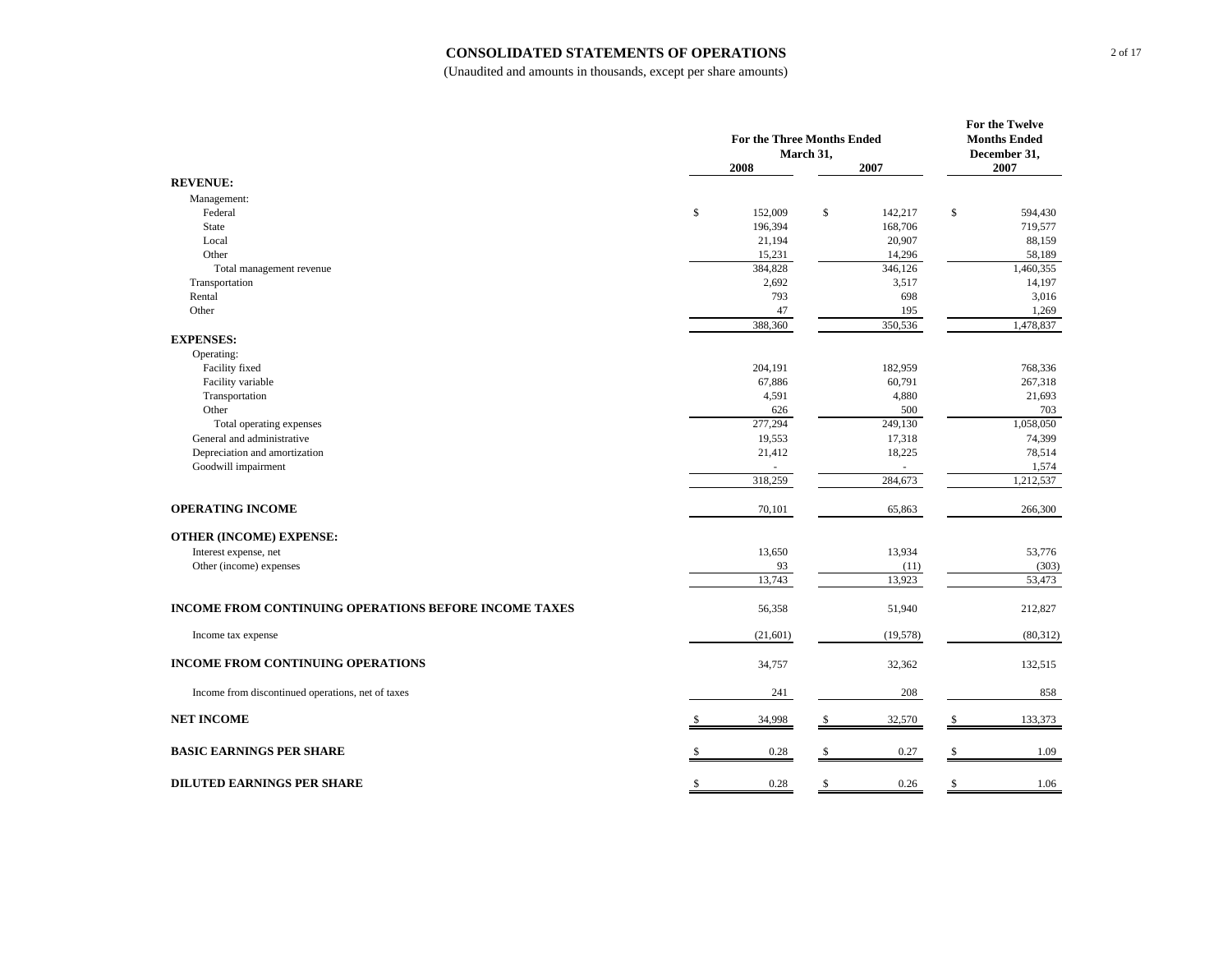#### **CONSOLIDATED STATEMENTS OF OPERATIONS**

|                                                       | For the Three Months Ended<br>March 31, |    |           |    | For the Twelve<br><b>Months Ended</b> |
|-------------------------------------------------------|-----------------------------------------|----|-----------|----|---------------------------------------|
|                                                       | 2008                                    |    | 2007      |    | December 31,<br>2007                  |
| <b>REVENUE:</b>                                       |                                         |    |           |    |                                       |
| Management:                                           |                                         |    |           |    |                                       |
| Federal                                               | \$<br>152,009                           | \$ | 142,217   | \$ | 594,430                               |
| <b>State</b>                                          | 196,394                                 |    | 168,706   |    | 719,577                               |
| Local                                                 | 21,194                                  |    | 20,907    |    | 88,159                                |
| Other                                                 | 15,231                                  |    | 14,296    |    | 58,189                                |
| Total management revenue                              | 384,828                                 |    | 346,126   |    | 1,460,355                             |
| Transportation                                        | 2,692                                   |    | 3,517     |    | 14,197                                |
| Rental                                                | 793                                     |    | 698       |    | 3,016                                 |
| Other                                                 | 47                                      |    | 195       |    | 1,269                                 |
|                                                       | 388,360                                 |    | 350,536   |    | 1,478,837                             |
| <b>EXPENSES:</b>                                      |                                         |    |           |    |                                       |
| Operating:                                            |                                         |    |           |    |                                       |
| Facility fixed                                        | 204,191                                 |    | 182,959   |    | 768,336                               |
| Facility variable                                     | 67,886                                  |    | 60,791    |    | 267,318                               |
| Transportation                                        | 4,591                                   |    | 4,880     |    | 21,693                                |
| Other                                                 | 626                                     |    | 500       |    | 703                                   |
| Total operating expenses                              | 277,294                                 |    | 249,130   |    | 1,058,050                             |
| General and administrative                            | 19,553                                  |    | 17,318    |    | 74,399                                |
| Depreciation and amortization                         | 21,412                                  |    | 18,225    |    | 78,514                                |
| Goodwill impairment                                   | $\omega$                                |    | ä,        |    | 1,574                                 |
|                                                       | 318,259                                 |    | 284,673   |    | 1,212,537                             |
|                                                       |                                         |    |           |    |                                       |
| <b>OPERATING INCOME</b>                               | 70,101                                  |    | 65,863    |    | 266,300                               |
|                                                       |                                         |    |           |    |                                       |
| <b>OTHER (INCOME) EXPENSE:</b>                        |                                         |    |           |    |                                       |
| Interest expense, net                                 | 13,650                                  |    | 13,934    |    | 53,776                                |
| Other (income) expenses                               | 93                                      |    | (11)      |    | (303)                                 |
|                                                       | 13,743                                  |    | 13,923    |    | 53,473                                |
|                                                       |                                         |    |           |    |                                       |
| INCOME FROM CONTINUING OPERATIONS BEFORE INCOME TAXES | 56,358                                  |    | 51,940    |    | 212,827                               |
|                                                       |                                         |    |           |    |                                       |
| Income tax expense                                    | (21,601)                                |    | (19, 578) |    | (80, 312)                             |
| INCOME FROM CONTINUING OPERATIONS                     | 34,757                                  |    | 32,362    |    | 132,515                               |
| Income from discontinued operations, net of taxes     | 241                                     |    | 208       |    | 858                                   |
|                                                       |                                         |    |           |    |                                       |
| <b>NET INCOME</b>                                     | 34,998                                  |    | 32,570    |    | 133,373                               |
| <b>BASIC EARNINGS PER SHARE</b>                       | 0.28                                    |    | 0.27      |    | 1.09                                  |
|                                                       |                                         |    |           |    |                                       |
| <b>DILUTED EARNINGS PER SHARE</b>                     | \$<br>0.28                              | \$ | 0.26      | \$ | 1.06                                  |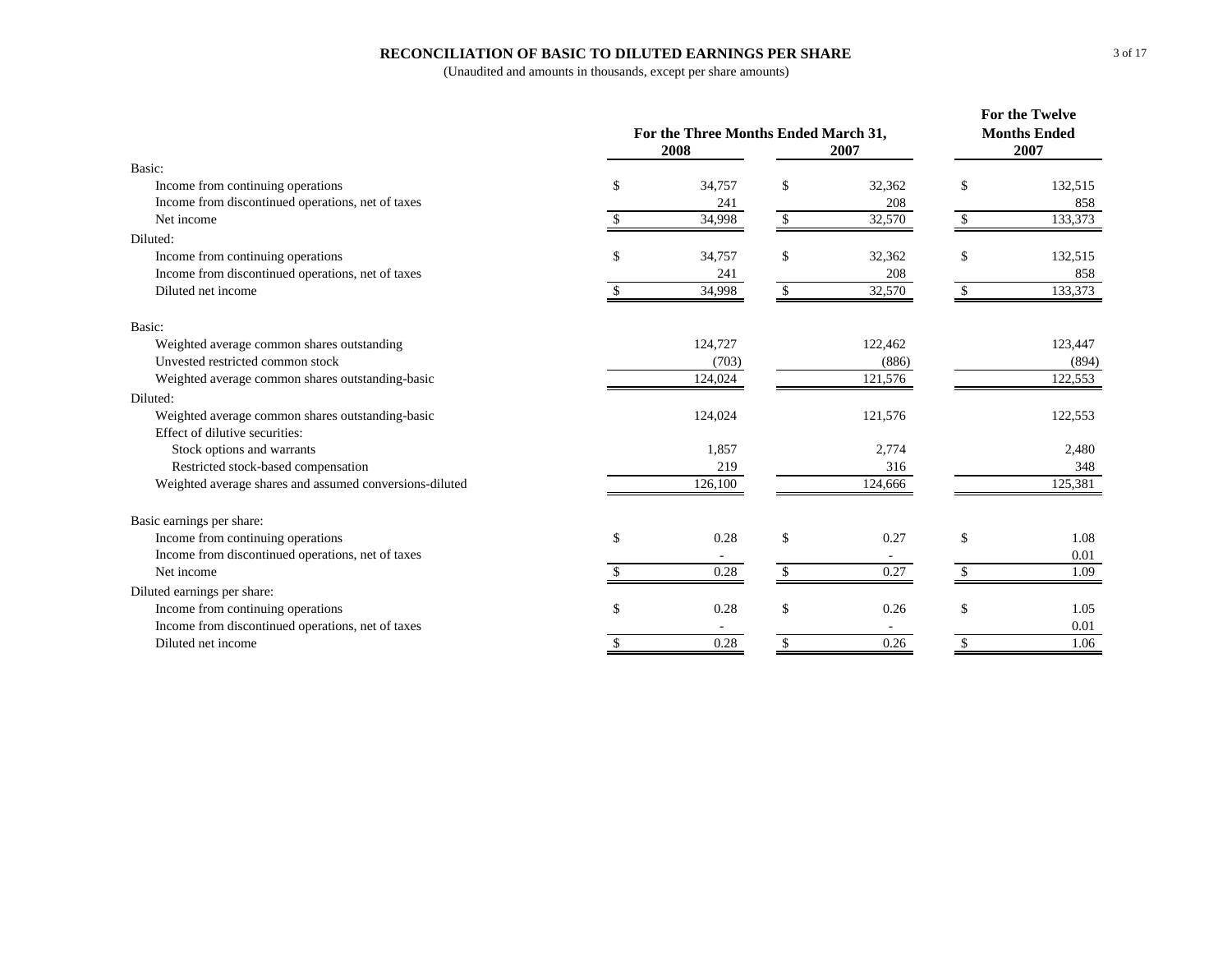### **RECONCILIATION OF BASIC TO DILUTED EARNINGS PER SHARE**

|                                                         | For the Three Months Ended March 31,<br>2008 | <b>For the Twelve</b><br><b>Months Ended</b><br>2007 |              |               |         |
|---------------------------------------------------------|----------------------------------------------|------------------------------------------------------|--------------|---------------|---------|
| Basic:                                                  |                                              |                                                      |              |               |         |
| Income from continuing operations                       | \$                                           | 34,757                                               | \$<br>32,362 | \$            | 132,515 |
| Income from discontinued operations, net of taxes       |                                              | 241                                                  | 208          |               | 858     |
| Net income                                              |                                              | 34,998                                               | \$<br>32,570 | \$            | 133,373 |
| Diluted:                                                |                                              |                                                      |              |               |         |
| Income from continuing operations                       | \$                                           | 34,757                                               | \$<br>32,362 | \$            | 132,515 |
| Income from discontinued operations, net of taxes       |                                              | 241                                                  | 208          |               | 858     |
| Diluted net income                                      |                                              | 34,998                                               | \$<br>32,570 | <sup>\$</sup> | 133,373 |
| Basic:                                                  |                                              |                                                      |              |               |         |
| Weighted average common shares outstanding              |                                              | 124,727                                              | 122,462      |               | 123,447 |
| Unvested restricted common stock                        |                                              | (703)                                                | (886)        |               | (894)   |
| Weighted average common shares outstanding-basic        |                                              | 124,024                                              | 121,576      |               | 122,553 |
| Diluted:                                                |                                              |                                                      |              |               |         |
| Weighted average common shares outstanding-basic        |                                              | 124,024                                              | 121,576      |               | 122,553 |
| Effect of dilutive securities:                          |                                              |                                                      |              |               |         |
| Stock options and warrants                              |                                              | 1,857                                                | 2,774        |               | 2,480   |
| Restricted stock-based compensation                     |                                              | 219                                                  | 316          |               | 348     |
| Weighted average shares and assumed conversions-diluted |                                              | 126,100                                              | 124,666      |               | 125,381 |
| Basic earnings per share:                               |                                              |                                                      |              |               |         |
| Income from continuing operations                       | $\mathbb{S}$                                 | 0.28                                                 | \$<br>0.27   | \$            | 1.08    |
| Income from discontinued operations, net of taxes       |                                              |                                                      |              |               | 0.01    |
| Net income                                              |                                              | 0.28                                                 | \$<br>0.27   |               | 1.09    |
| Diluted earnings per share:                             |                                              |                                                      |              |               |         |
| Income from continuing operations                       | \$                                           | 0.28                                                 | \$<br>0.26   | \$            | 1.05    |
| Income from discontinued operations, net of taxes       |                                              |                                                      |              |               | 0.01    |
| Diluted net income                                      | \$                                           | 0.28                                                 | \$<br>0.26   | \$            | 1.06    |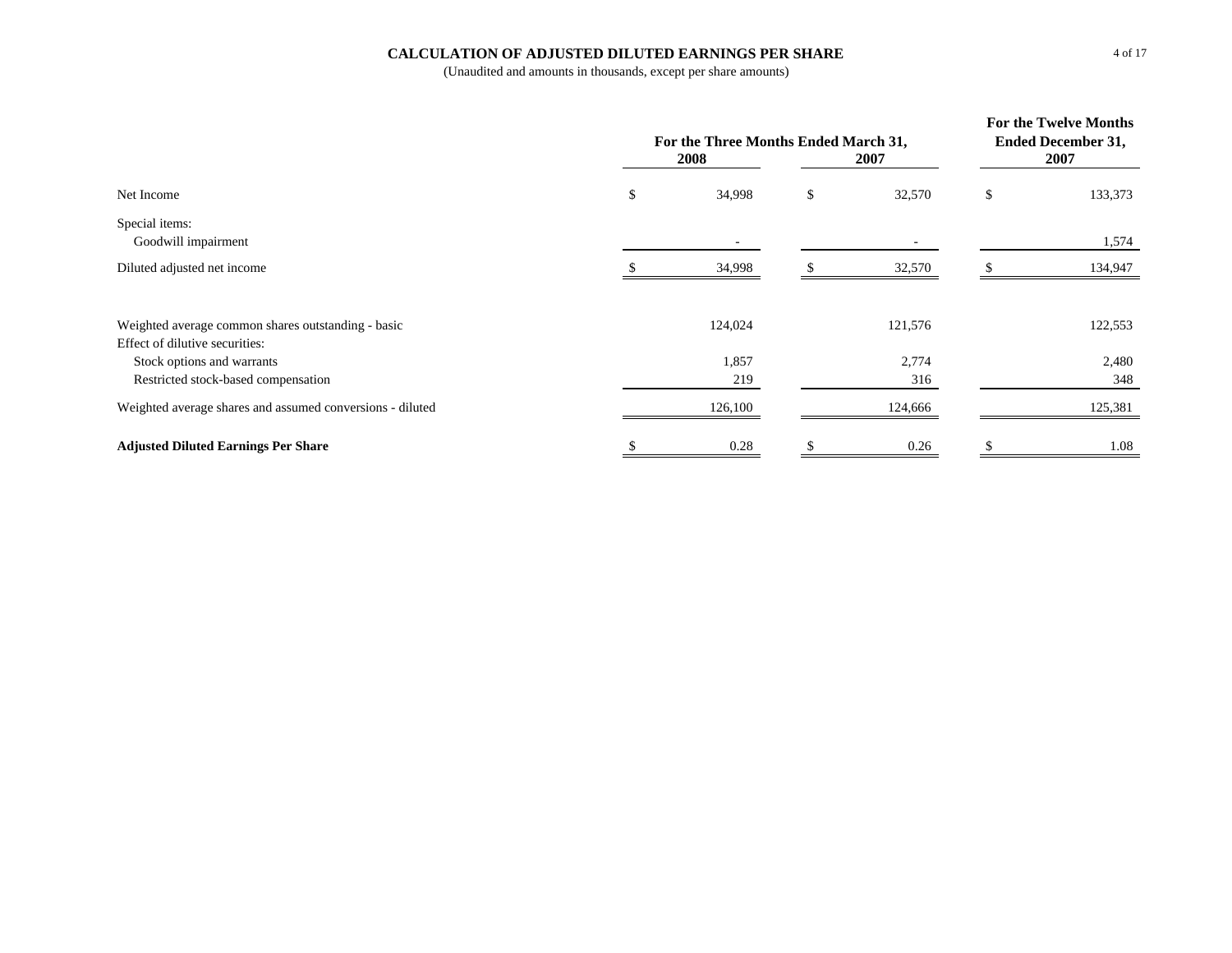## **CALCULATION OF ADJUSTED DILUTED EARNINGS PER SHARE**

|                                                                                      | For the Three Months Ended March 31,<br>2008 | For the Twelve Months<br><b>Ended December 31,</b><br>2007 |              |    |              |
|--------------------------------------------------------------------------------------|----------------------------------------------|------------------------------------------------------------|--------------|----|--------------|
| Net Income                                                                           | \$                                           | 34,998                                                     | \$<br>32,570 | \$ | 133,373      |
| Special items:<br>Goodwill impairment                                                |                                              |                                                            |              |    | 1,574        |
| Diluted adjusted net income                                                          |                                              | 34,998                                                     | 32,570       |    | 134,947      |
| Weighted average common shares outstanding - basic<br>Effect of dilutive securities: |                                              | 124,024                                                    | 121,576      |    | 122,553      |
| Stock options and warrants<br>Restricted stock-based compensation                    |                                              | 1,857<br>219                                               | 2,774<br>316 |    | 2,480<br>348 |
| Weighted average shares and assumed conversions - diluted                            |                                              | 126,100                                                    | 124,666      |    | 125,381      |
| <b>Adjusted Diluted Earnings Per Share</b>                                           |                                              | 0.28                                                       | 0.26         |    | 1.08         |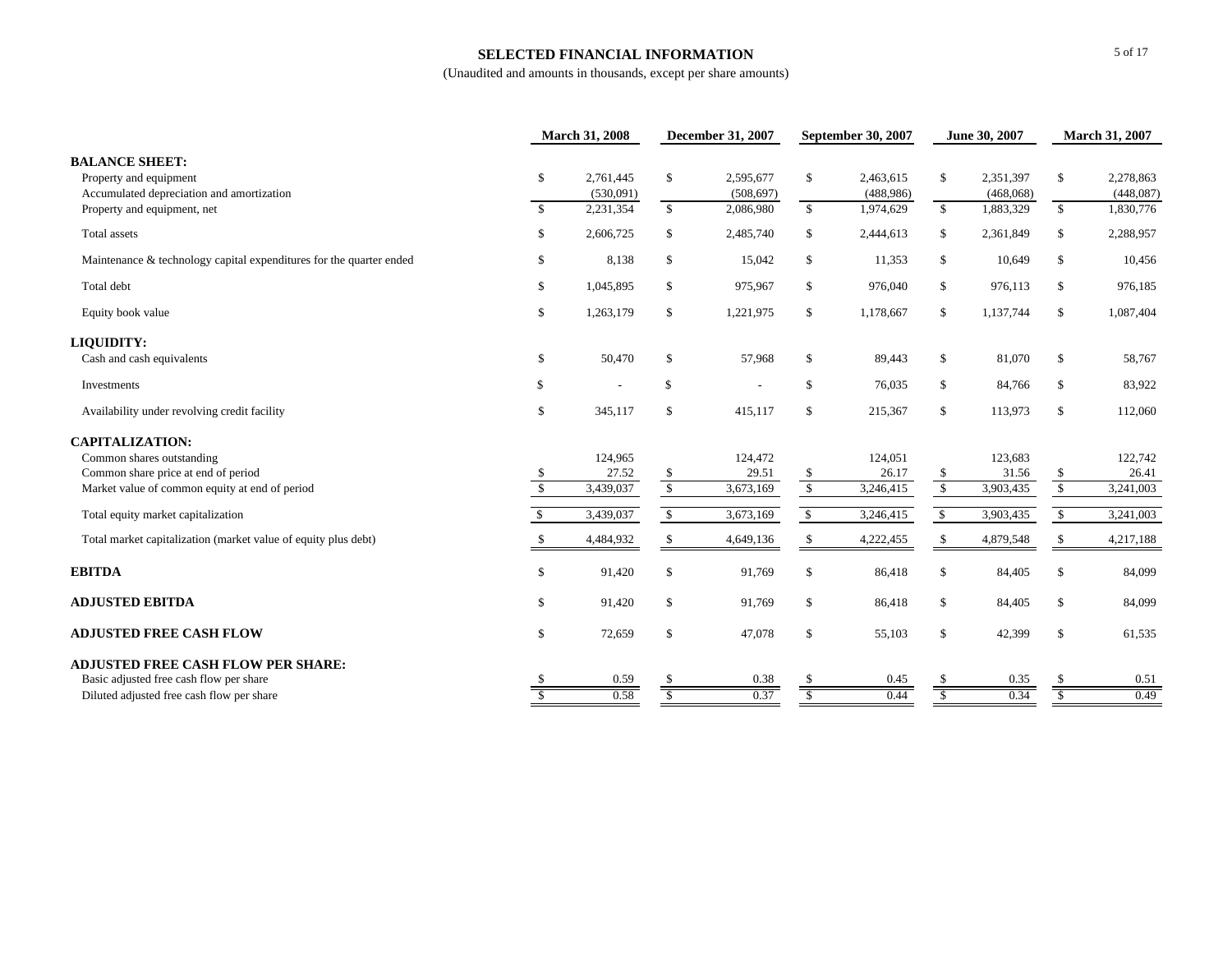### **SELECTED FINANCIAL INFORMATION**

|                                                                                              |                | <b>March 31, 2008</b>  |                          | <b>December 31, 2007</b> |                          | <b>September 30, 2007</b> | June 30, 2007 |                        | <b>March 31, 2007</b> |                        |
|----------------------------------------------------------------------------------------------|----------------|------------------------|--------------------------|--------------------------|--------------------------|---------------------------|---------------|------------------------|-----------------------|------------------------|
| <b>BALANCE SHEET:</b><br>Property and equipment<br>Accumulated depreciation and amortization | \$             | 2,761,445<br>(530,091) | \$                       | 2,595,677<br>(508, 697)  | \$                       | 2,463,615<br>(488,986)    | \$            | 2,351,397<br>(468,068) | \$                    | 2,278,863<br>(448,087) |
| Property and equipment, net                                                                  | <sup>S</sup>   | 2,231,354              | $\mathbb{S}$             | 2,086,980                | $\mathbf{s}$             | 1,974,629                 | $\mathbb{S}$  | 1,883,329              | $\mathbb{S}$          | 1,830,776              |
| Total assets                                                                                 | \$             | 2,606,725              | \$                       | 2,485,740                | \$                       | 2,444,613                 | \$            | 2,361,849              | \$                    | 2,288,957              |
| Maintenance & technology capital expenditures for the quarter ended                          | \$             | 8,138                  | $\mathbb{S}$             | 15,042                   | \$                       | 11,353                    | $\mathbb{S}$  | 10,649                 | \$                    | 10,456                 |
| Total debt                                                                                   | \$             | 1,045,895              | \$                       | 975,967                  | \$                       | 976,040                   | \$            | 976,113                | \$                    | 976,185                |
| Equity book value                                                                            | \$             | 1,263,179              | \$                       | 1,221,975                | \$                       | 1,178,667                 | \$            | 1,137,744              | \$                    | 1,087,404              |
| LIQUIDITY:                                                                                   |                |                        |                          |                          |                          |                           |               |                        |                       |                        |
| Cash and cash equivalents                                                                    | \$             | 50,470                 | \$                       | 57,968                   | \$                       | 89,443                    | \$            | 81,070                 | \$                    | 58,767                 |
| Investments                                                                                  | \$             |                        | $\mathbb{S}$             |                          | \$                       | 76,035                    | \$            | 84,766                 | \$                    | 83,922                 |
| Availability under revolving credit facility                                                 | \$             | 345,117                | \$                       | 415,117                  | \$                       | 215,367                   | $\mathbf{s}$  | 113,973                | \$                    | 112,060                |
| <b>CAPITALIZATION:</b>                                                                       |                |                        |                          |                          |                          |                           |               |                        |                       |                        |
| Common shares outstanding                                                                    |                | 124,965                |                          | 124,472                  |                          | 124,051                   |               | 123,683                |                       | 122,742                |
| Common share price at end of period                                                          | \$             | 27.52                  | \$                       | 29.51                    | \$                       | 26.17                     | \$            | 31.56                  | \$                    | 26.41                  |
| Market value of common equity at end of period                                               | $\overline{s}$ | 3,439,037              | $\overline{\mathcal{S}}$ | 3,673,169                | $\overline{\mathcal{S}}$ | 3,246,415                 | $\sqrt{\ }$   | 3,903,435              | $\sqrt{\ }$           | 3,241,003              |
| Total equity market capitalization                                                           | -S             | 3,439,037              | $\mathbb{S}$             | 3,673,169                | $\mathbb{S}$             | 3,246,415                 | $\mathbb{S}$  | 3,903,435              | $\mathbb{S}$          | 3,241,003              |
| Total market capitalization (market value of equity plus debt)                               |                | 4,484,932              | \$                       | 4,649,136                | \$                       | 4,222,455                 | \$            | 4,879,548              | \$                    | 4,217,188              |
| <b>EBITDA</b>                                                                                | \$             | 91,420                 | \$                       | 91,769                   | \$                       | 86,418                    | $\mathcal{S}$ | 84,405                 | \$                    | 84,099                 |
| <b>ADJUSTED EBITDA</b>                                                                       | \$             | 91,420                 | \$                       | 91,769                   | \$                       | 86,418                    | \$            | 84,405                 | \$                    | 84,099                 |
| <b>ADJUSTED FREE CASH FLOW</b>                                                               | \$             | 72,659                 | \$                       | 47,078                   | \$                       | 55,103                    | $\mathbb{S}$  | 42,399                 | \$                    | 61,535                 |
| <b>ADJUSTED FREE CASH FLOW PER SHARE:</b>                                                    |                |                        |                          |                          |                          |                           |               |                        |                       |                        |
| Basic adjusted free cash flow per share                                                      |                | 0.59                   | \$.                      | 0.38                     | \$.                      | 0.45                      | -S            | 0.35                   |                       | 0.51                   |
| Diluted adjusted free cash flow per share                                                    |                | 0.58                   | <sup>\$</sup>            | 0.37                     | <sup>\$</sup>            | 0.44                      | <sup>\$</sup> | 0.34                   | <sup>\$</sup>         | 0.49                   |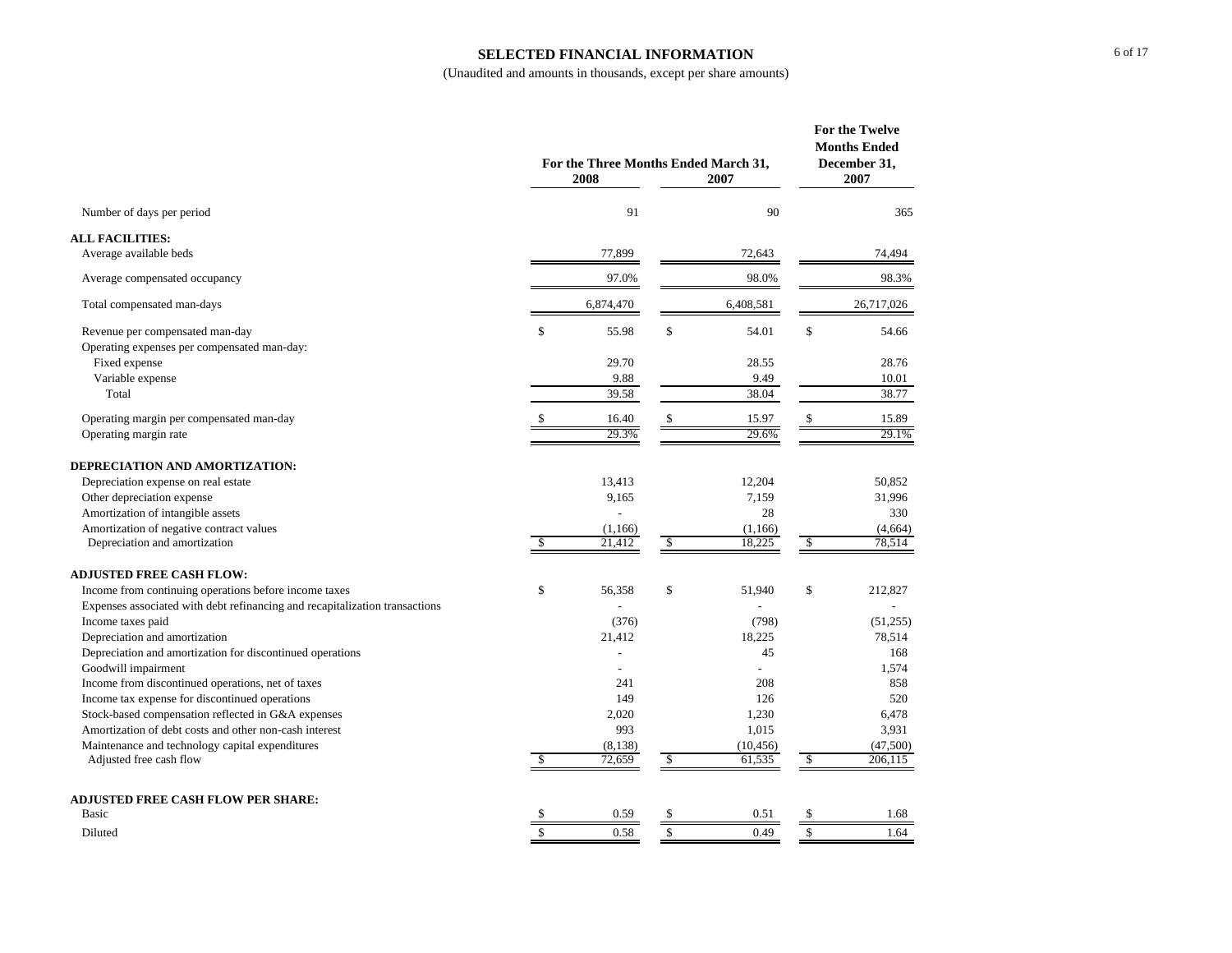#### **SELECTED FINANCIAL INFORMATION**

|                                                                             |            | For the Three Months Ended March 31, | For the Twelve<br><b>Months Ended</b><br>December 31, |           |               |
|-----------------------------------------------------------------------------|------------|--------------------------------------|-------------------------------------------------------|-----------|---------------|
|                                                                             |            | 2008                                 |                                                       | 2007      | 2007          |
| Number of days per period                                                   |            | 91                                   |                                                       | 90        | 365           |
| <b>ALL FACILITIES:</b>                                                      |            |                                      |                                                       |           |               |
| Average available beds                                                      |            | 77,899                               |                                                       | 72,643    | 74,494        |
| Average compensated occupancy                                               |            | 97.0%                                | 98.0%                                                 |           | 98.3%         |
| Total compensated man-days                                                  |            | 6,874,470                            |                                                       | 6,408,581 | 26,717,026    |
| Revenue per compensated man-day                                             | \$         | 55.98                                | $\mathbb{S}$                                          | 54.01     | \$<br>54.66   |
| Operating expenses per compensated man-day:                                 |            |                                      |                                                       |           |               |
| Fixed expense                                                               |            | 29.70                                |                                                       | 28.55     | 28.76         |
| Variable expense                                                            |            | 9.88                                 |                                                       | 9.49      | 10.01         |
| Total                                                                       |            | 39.58                                |                                                       | 38.04     | 38.77         |
| Operating margin per compensated man-day                                    | \$         | 16.40                                | \$                                                    | 15.97     | \$<br>15.89   |
| Operating margin rate                                                       |            | 29.3%                                |                                                       | 29.6%     | 29.1%         |
| DEPRECIATION AND AMORTIZATION:                                              |            |                                      |                                                       |           |               |
| Depreciation expense on real estate                                         |            | 13.413                               |                                                       | 12,204    | 50,852        |
| Other depreciation expense                                                  |            | 9,165                                |                                                       | 7,159     | 31,996        |
| Amortization of intangible assets                                           |            |                                      |                                                       | 28        | 330           |
| Amortization of negative contract values                                    |            | (1,166)                              |                                                       | (1,166)   | (4,664)       |
| Depreciation and amortization                                               | $\sqrt{2}$ | 21,412                               | \$                                                    | 18,225    | \$<br>78,514  |
| <b>ADJUSTED FREE CASH FLOW:</b>                                             |            |                                      |                                                       |           |               |
| Income from continuing operations before income taxes                       | \$         | 56,358                               | \$                                                    | 51,940    | \$<br>212,827 |
| Expenses associated with debt refinancing and recapitalization transactions |            |                                      |                                                       |           |               |
| Income taxes paid                                                           |            | (376)                                |                                                       | (798)     | (51,255)      |
| Depreciation and amortization                                               |            | 21,412                               |                                                       | 18,225    | 78,514        |
| Depreciation and amortization for discontinued operations                   |            | $\overline{a}$                       |                                                       | 45        | 168           |
| Goodwill impairment                                                         |            |                                      |                                                       |           | 1,574         |
| Income from discontinued operations, net of taxes                           |            | 241                                  |                                                       | 208       | 858           |
| Income tax expense for discontinued operations                              |            | 149                                  |                                                       | 126       | 520           |
| Stock-based compensation reflected in G&A expenses                          |            | 2,020                                |                                                       | 1,230     | 6,478         |
| Amortization of debt costs and other non-cash interest                      |            | 993                                  |                                                       | 1,015     | 3,931         |
| Maintenance and technology capital expenditures                             |            | (8, 138)                             |                                                       | (10, 456) | (47,500)      |
| Adjusted free cash flow                                                     | \$         | 72,659                               | \$                                                    | 61,535    | \$<br>206,115 |
| <b>ADJUSTED FREE CASH FLOW PER SHARE:</b>                                   |            |                                      |                                                       |           |               |
| Basic                                                                       | \$         | 0.59                                 | \$                                                    | 0.51      | \$<br>1.68    |
| Diluted                                                                     | \$         | 0.58                                 | \$                                                    | 0.49      | \$<br>1.64    |
|                                                                             |            |                                      |                                                       |           |               |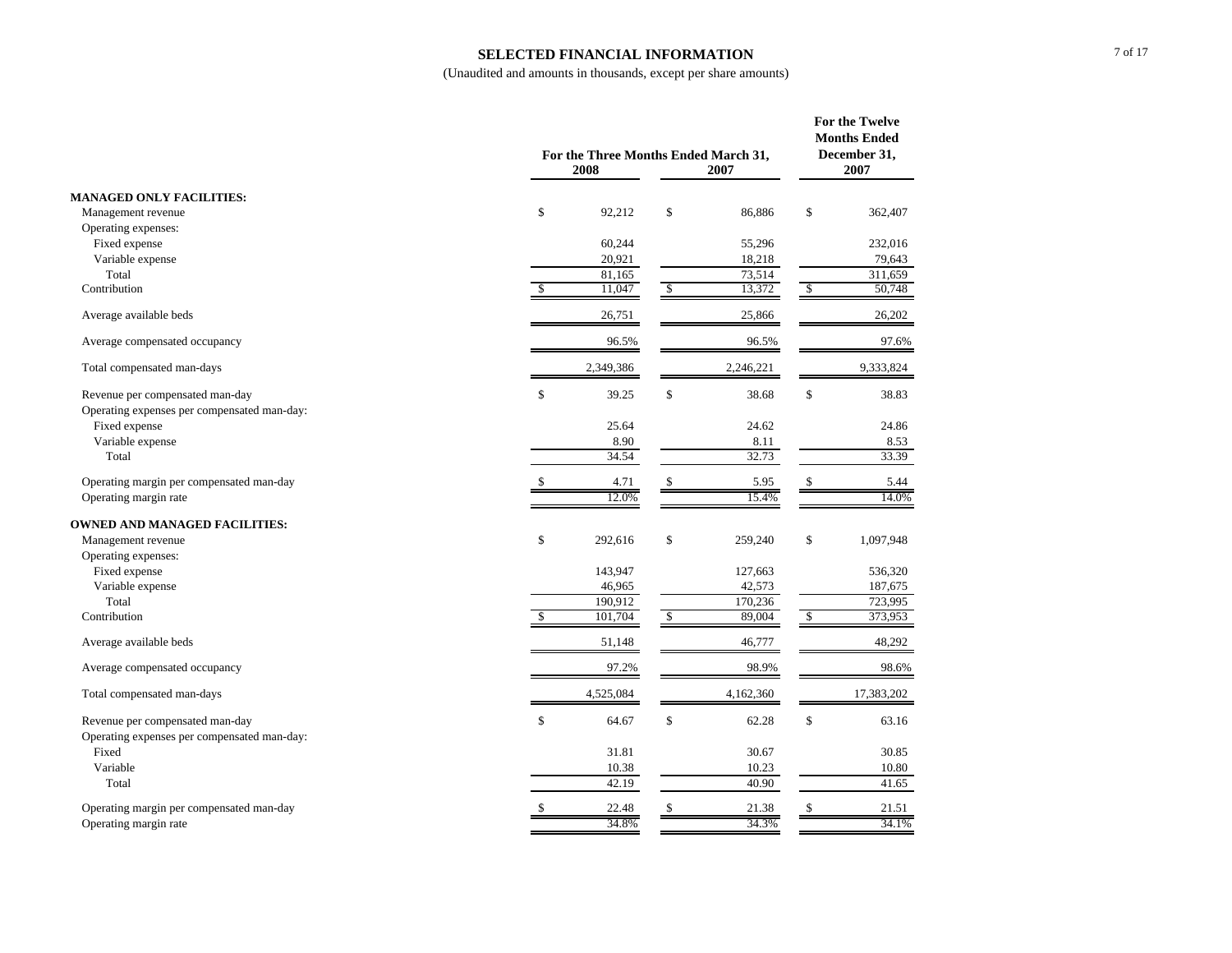#### **SELECTED FINANCIAL INFORMATION**

|                                             |               | For the Three Months Ended March 31,<br>2008<br>2007 |               |           |               |            |
|---------------------------------------------|---------------|------------------------------------------------------|---------------|-----------|---------------|------------|
| <b>MANAGED ONLY FACILITIES:</b>             |               |                                                      |               |           |               |            |
| Management revenue                          | \$            | 92,212                                               | \$            | 86,886    | $\mathbb S$   | 362,407    |
| Operating expenses:                         |               |                                                      |               |           |               |            |
| Fixed expense                               |               | 60,244                                               |               | 55,296    |               | 232,016    |
| Variable expense                            |               | 20,921                                               |               | 18,218    |               | 79,643     |
| Total                                       |               | 81,165                                               |               | 73,514    |               | 311,659    |
| Contribution                                | \$            | 11,047                                               | $\sqrt{2}$    | 13,372    | $\mathcal{S}$ | 50,748     |
| Average available beds                      |               | 26,751                                               |               | 25,866    |               | 26,202     |
| Average compensated occupancy               |               | 96.5%                                                |               | 96.5%     |               | 97.6%      |
| Total compensated man-days                  |               | 2,349,386                                            |               | 2,246,221 |               | 9,333,824  |
| Revenue per compensated man-day             | \$            | 39.25                                                | \$            | 38.68     | \$            | 38.83      |
| Operating expenses per compensated man-day: |               |                                                      |               |           |               |            |
| Fixed expense                               |               | 25.64                                                |               | 24.62     |               | 24.86      |
| Variable expense                            |               | 8.90                                                 |               | 8.11      |               | 8.53       |
| Total                                       |               | 34.54                                                |               | 32.73     |               | 33.39      |
| Operating margin per compensated man-day    | \$            | 4.71                                                 | \$            | 5.95      | \$            | 5.44       |
| Operating margin rate                       |               | 12.0%                                                |               | 15.4%     |               | 14.0%      |
| <b>OWNED AND MANAGED FACILITIES:</b>        |               |                                                      |               |           |               |            |
| Management revenue                          | \$            | 292,616                                              | \$            | 259,240   | \$            | 1,097,948  |
| Operating expenses:                         |               |                                                      |               |           |               |            |
| Fixed expense                               |               | 143,947                                              |               | 127,663   |               | 536,320    |
| Variable expense                            |               | 46,965                                               |               | 42,573    |               | 187,675    |
| Total                                       |               | 190,912                                              |               | 170,236   |               | 723.995    |
| Contribution                                | $\mathcal{S}$ | 101,704                                              | $\mathcal{S}$ | 89,004    | \$            | 373,953    |
| Average available beds                      |               | 51,148                                               |               | 46,777    |               | 48,292     |
| Average compensated occupancy               |               | 97.2%                                                |               | 98.9%     |               | 98.6%      |
| Total compensated man-days                  |               | 4,525,084                                            |               | 4,162,360 |               | 17,383,202 |
| Revenue per compensated man-day             | \$            | 64.67                                                | \$            | 62.28     | \$            | 63.16      |
| Operating expenses per compensated man-day: |               |                                                      |               |           |               |            |
| Fixed                                       |               | 31.81                                                |               | 30.67     |               | 30.85      |
| Variable                                    |               | 10.38                                                |               | 10.23     |               | 10.80      |
| Total                                       |               | 42.19                                                |               | 40.90     |               | 41.65      |
| Operating margin per compensated man-day    | \$            | 22.48                                                | \$            | 21.38     | \$            | 21.51      |
| Operating margin rate                       |               | 34.8%                                                |               | 34.3%     |               | 34.1%      |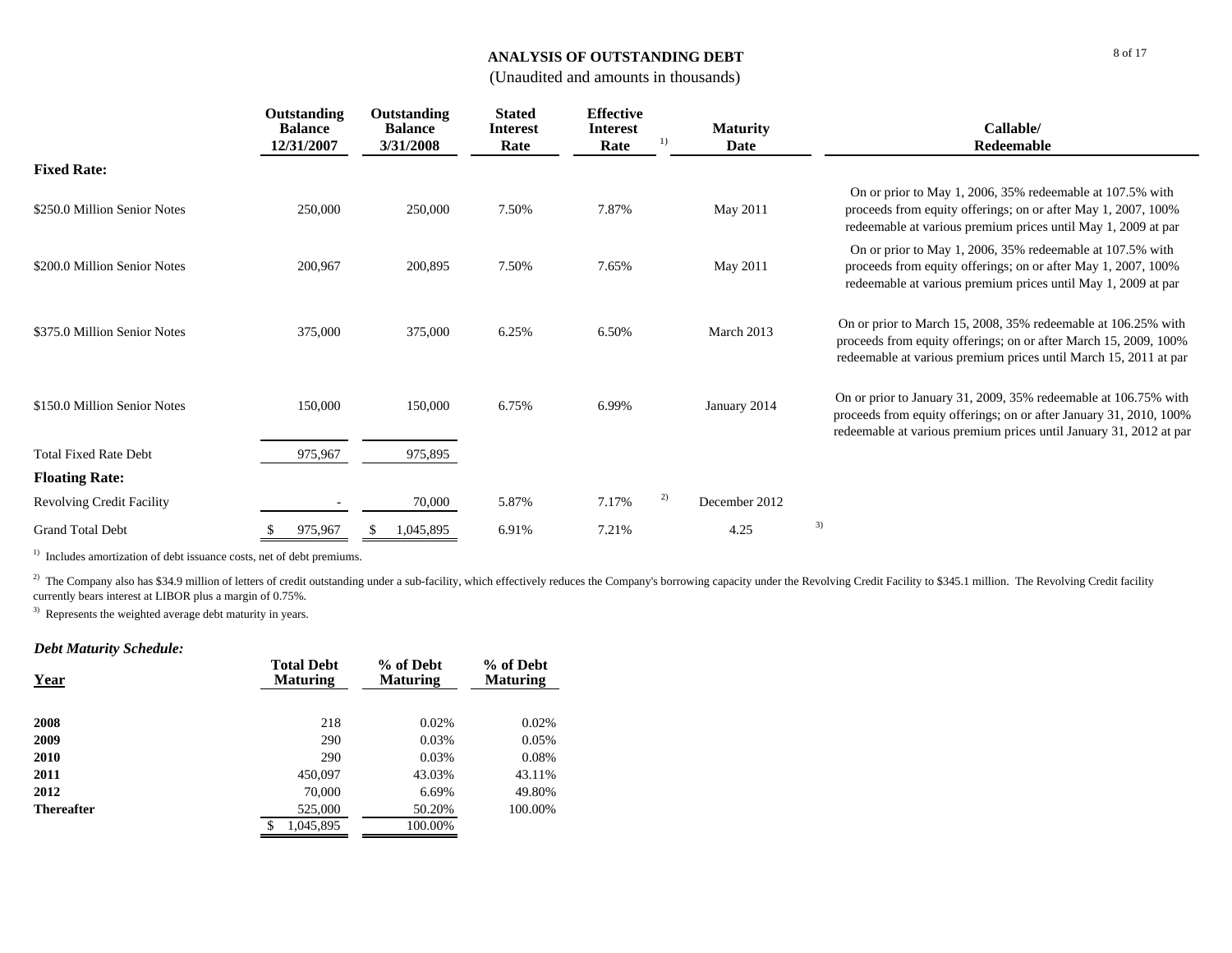## **ANALYSIS OF OUTSTANDING DEBT**

## (Unaudited and amounts in thousands)

|                                  | Outstanding<br><b>Balance</b> | Outstanding<br><b>Balance</b> | <b>Stated</b><br><b>Interest</b> | <b>Effective</b><br><b>Interest</b> | <b>Maturity</b>     | Callable/                                                                                                                                                                                                   |
|----------------------------------|-------------------------------|-------------------------------|----------------------------------|-------------------------------------|---------------------|-------------------------------------------------------------------------------------------------------------------------------------------------------------------------------------------------------------|
|                                  | 12/31/2007                    | 3/31/2008                     | Rate                             | Rate                                | Date                | Redeemable                                                                                                                                                                                                  |
| <b>Fixed Rate:</b>               |                               |                               |                                  |                                     |                     |                                                                                                                                                                                                             |
| \$250.0 Million Senior Notes     | 250,000                       | 250,000                       | 7.50%                            | 7.87%                               | May 2011            | On or prior to May 1, 2006, 35% redeemable at 107.5% with<br>proceeds from equity offerings; on or after May 1, 2007, 100%<br>redeemable at various premium prices until May 1, 2009 at par                 |
| \$200.0 Million Senior Notes     | 200,967                       | 200,895                       | 7.50%                            | 7.65%                               | May 2011            | On or prior to May 1, 2006, 35% redeemable at 107.5% with<br>proceeds from equity offerings; on or after May 1, 2007, 100%<br>redeemable at various premium prices until May 1, 2009 at par                 |
| \$375.0 Million Senior Notes     | 375,000                       | 375,000                       | 6.25%                            | 6.50%                               | March 2013          | On or prior to March 15, 2008, 35% redeemable at 106.25% with<br>proceeds from equity offerings; on or after March 15, 2009, 100%<br>redeemable at various premium prices until March 15, 2011 at par       |
| \$150.0 Million Senior Notes     | 150,000                       | 150,000                       | 6.75%                            | 6.99%                               | January 2014        | On or prior to January 31, 2009, 35% redeemable at 106.75% with<br>proceeds from equity offerings; on or after January 31, 2010, 100%<br>redeemable at various premium prices until January 31, 2012 at par |
| <b>Total Fixed Rate Debt</b>     | 975,967                       | 975,895                       |                                  |                                     |                     |                                                                                                                                                                                                             |
| <b>Floating Rate:</b>            |                               |                               |                                  |                                     |                     |                                                                                                                                                                                                             |
| <b>Revolving Credit Facility</b> |                               | 70,000                        | 5.87%                            | 7.17%                               | 2)<br>December 2012 |                                                                                                                                                                                                             |
| <b>Grand Total Debt</b>          | 975,967                       | 1,045,895                     | 6.91%                            | 7.21%                               | 4.25                | 3)                                                                                                                                                                                                          |

 $1)$  Includes amortization of debt issuance costs, net of debt premiums.

<sup>2)</sup> The Company also has \$34.9 million of letters of credit outstanding under a sub-facility, which effectively reduces the Company's borrowing capacity under the Revolving Credit Facility to \$345.1 million. The Revolving currently bears interest at LIBOR plus a margin of 0.75%.

<sup>3)</sup> Represents the weighted average debt maturity in years.

## *Debt Maturity Schedule:*

| <b>Year</b>       | <b>Total Debt</b><br><b>Maturing</b> | % of Debt<br><b>Maturing</b> | % of Debt<br><b>Maturing</b> |
|-------------------|--------------------------------------|------------------------------|------------------------------|
| 2008              | 218                                  | 0.02%                        | 0.02%                        |
| 2009              | 290                                  | 0.03%                        | 0.05%                        |
| 2010              | 290                                  | 0.03%                        | 0.08%                        |
| 2011              | 450,097                              | 43.03%                       | 43.11%                       |
| 2012              | 70,000                               | 6.69%                        | 49.80%                       |
| <b>Thereafter</b> | 525,000                              | 50.20%                       | 100.00%                      |
|                   | 1,045,895<br>S                       | 100.00%                      |                              |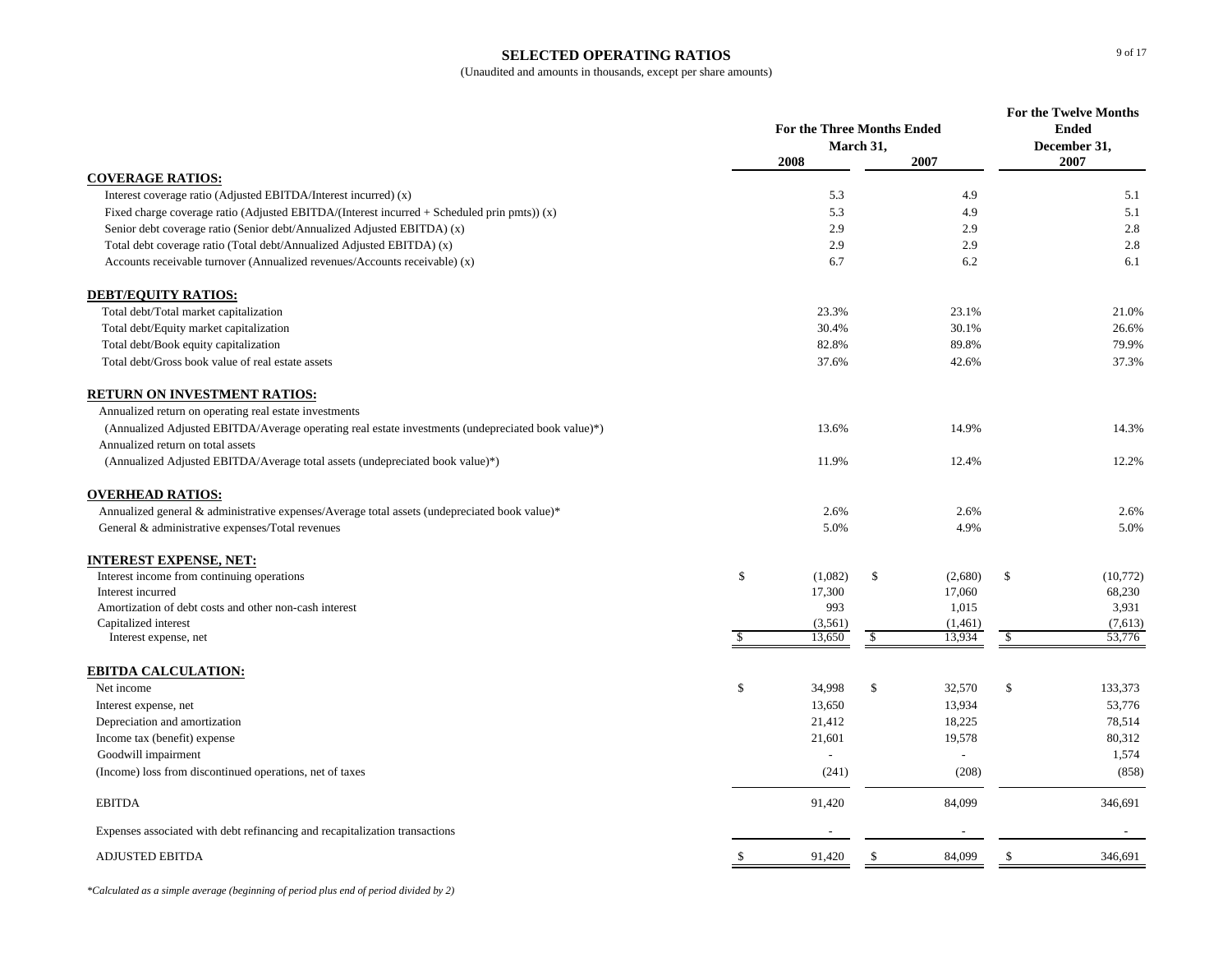## **SELECTED OPERATING RATIOS**

(Unaudited and amounts in thousands, except per share amounts)

|                                                                                                    | <b>For the Three Months Ended</b> |         |               |         | <b>For the Twelve Months</b><br><b>Ended</b> |                      |
|----------------------------------------------------------------------------------------------------|-----------------------------------|---------|---------------|---------|----------------------------------------------|----------------------|
|                                                                                                    |                                   |         |               |         |                                              |                      |
|                                                                                                    |                                   | 2008    | March 31,     | 2007    |                                              | December 31,<br>2007 |
| <b>COVERAGE RATIOS:</b>                                                                            |                                   |         |               |         |                                              |                      |
| Interest coverage ratio (Adjusted EBITDA/Interest incurred) (x)                                    |                                   | 5.3     |               | 4.9     |                                              | 5.1                  |
| Fixed charge coverage ratio (Adjusted EBITDA/(Interest incurred $+$ Scheduled prin pmts)) (x)      |                                   | 5.3     |               | 4.9     |                                              | 5.1                  |
| Senior debt coverage ratio (Senior debt/Annualized Adjusted EBITDA) (x)                            |                                   | 2.9     |               | 2.9     |                                              | 2.8                  |
| Total debt coverage ratio (Total debt/Annualized Adjusted EBITDA) (x)                              |                                   | 2.9     |               | 2.9     |                                              | 2.8                  |
| Accounts receivable turnover (Annualized revenues/Accounts receivable) (x)                         |                                   | 6.7     |               | 6.2     |                                              | 6.1                  |
| <b>DEBT/EQUITY RATIOS:</b>                                                                         |                                   |         |               |         |                                              |                      |
| Total debt/Total market capitalization                                                             |                                   | 23.3%   |               | 23.1%   |                                              | 21.0%                |
| Total debt/Equity market capitalization                                                            |                                   | 30.4%   |               | 30.1%   |                                              | 26.6%                |
| Total debt/Book equity capitalization                                                              |                                   | 82.8%   |               | 89.8%   |                                              | 79.9%                |
| Total debt/Gross book value of real estate assets                                                  |                                   | 37.6%   |               | 42.6%   |                                              | 37.3%                |
| <b>RETURN ON INVESTMENT RATIOS:</b>                                                                |                                   |         |               |         |                                              |                      |
| Annualized return on operating real estate investments                                             |                                   |         |               |         |                                              |                      |
| (Annualized Adjusted EBITDA/Average operating real estate investments (undepreciated book value)*) |                                   | 13.6%   |               | 14.9%   |                                              | 14.3%                |
| Annualized return on total assets                                                                  |                                   |         |               |         |                                              |                      |
| (Annualized Adjusted EBITDA/Average total assets (undepreciated book value)*)                      |                                   | 11.9%   |               | 12.4%   |                                              | 12.2%                |
| <b>OVERHEAD RATIOS:</b>                                                                            |                                   |         |               |         |                                              |                      |
| Annualized general & administrative expenses/Average total assets (undepreciated book value)*      |                                   | 2.6%    |               | 2.6%    |                                              | 2.6%                 |
| General & administrative expenses/Total revenues                                                   |                                   | 5.0%    |               | 4.9%    |                                              | 5.0%                 |
| <b>INTEREST EXPENSE, NET:</b>                                                                      |                                   |         |               |         |                                              |                      |
| Interest income from continuing operations                                                         | \$                                | (1,082) | \$            | (2,680) | \$                                           | (10,772)             |
| Interest incurred                                                                                  |                                   | 17,300  |               | 17,060  |                                              | 68,230               |
| Amortization of debt costs and other non-cash interest                                             |                                   | 993     |               | 1,015   |                                              | 3,931                |
| Capitalized interest                                                                               |                                   | (3,561) |               | (1,461) |                                              | (7,613)              |
| Interest expense, net                                                                              | <sup>\$</sup>                     | 13,650  | $\mathbb{S}$  | 13,934  | <sup>\$</sup>                                | 53,776               |
| EBITDA CALCULATION:                                                                                |                                   |         |               |         |                                              |                      |
| Net income                                                                                         | $\mathbb{S}$                      | 34,998  | \$            | 32,570  | \$                                           | 133,373              |
| Interest expense, net                                                                              |                                   | 13,650  |               | 13,934  |                                              | 53,776               |
| Depreciation and amortization                                                                      |                                   | 21,412  |               | 18,225  |                                              | 78,514               |
| Income tax (benefit) expense                                                                       |                                   | 21,601  |               | 19,578  |                                              | 80,312               |
| Goodwill impairment                                                                                |                                   |         |               |         |                                              | 1,574                |
| (Income) loss from discontinued operations, net of taxes                                           |                                   | (241)   |               | (208)   |                                              | (858)                |
| <b>EBITDA</b>                                                                                      |                                   | 91,420  |               | 84,099  |                                              | 346,691              |
| Expenses associated with debt refinancing and recapitalization transactions                        |                                   |         |               |         |                                              |                      |
| <b>ADJUSTED EBITDA</b>                                                                             | <sup>\$</sup>                     | 91,420  | <sup>\$</sup> | 84,099  | <sup>\$</sup>                                | 346,691              |

*\*Calculated as a simple average (beginning of period plus end of period divided by 2)*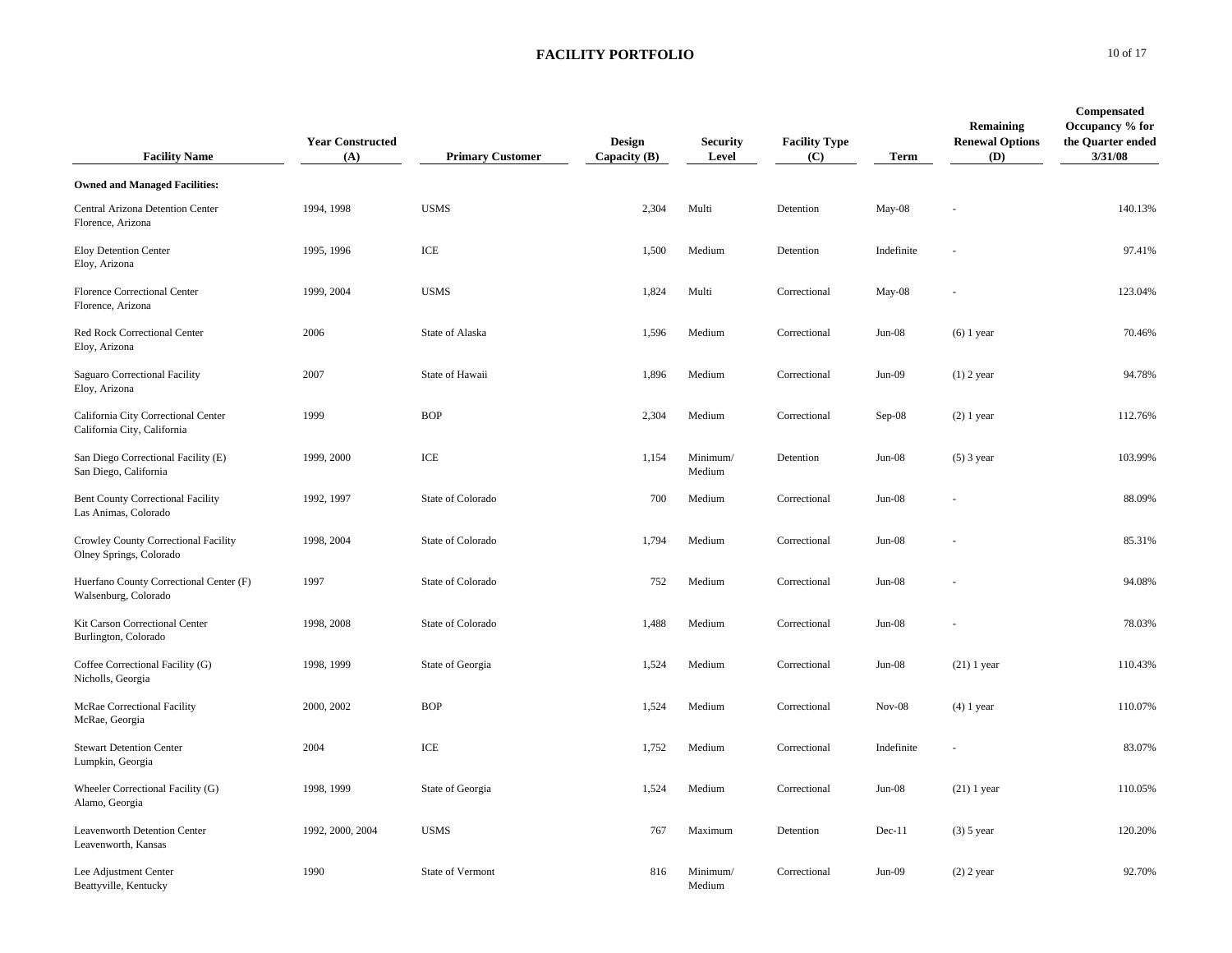| <b>Facility Name</b>                                               | <b>Year Constructed</b><br>(A) | <b>Primary Customer</b> | <b>Design</b><br>Capacity (B) | <b>Security</b><br>Level | <b>Facility Type</b><br>(C) | <b>Term</b> | Remaining<br><b>Renewal Options</b><br>(D) | Compensated<br>Occupancy % for<br>the Quarter ended<br>3/31/08 |
|--------------------------------------------------------------------|--------------------------------|-------------------------|-------------------------------|--------------------------|-----------------------------|-------------|--------------------------------------------|----------------------------------------------------------------|
| <b>Owned and Managed Facilities:</b>                               |                                |                         |                               |                          |                             |             |                                            |                                                                |
| Central Arizona Detention Center<br>Florence, Arizona              | 1994, 1998                     | <b>USMS</b>             | 2,304                         | Multi                    | Detention                   | May-08      |                                            | 140.13%                                                        |
| Eloy Detention Center<br>Eloy, Arizona                             | 1995, 1996                     | ICE                     | 1,500                         | Medium                   | Detention                   | Indefinite  |                                            | 97.41%                                                         |
| <b>Florence Correctional Center</b><br>Florence, Arizona           | 1999, 2004                     | <b>USMS</b>             | 1,824                         | Multi                    | Correctional                | $May-08$    |                                            | 123.04%                                                        |
| Red Rock Correctional Center<br>Eloy, Arizona                      | 2006                           | State of Alaska         | 1,596                         | Medium                   | Correctional                | $Jun-08$    | $(6)$ 1 year                               | 70.46%                                                         |
| Saguaro Correctional Facility<br>Eloy, Arizona                     | 2007                           | State of Hawaii         | 1,896                         | Medium                   | Correctional                | $Jun-09$    | $(1)$ 2 year                               | 94.78%                                                         |
| California City Correctional Center<br>California City, California | 1999                           | <b>BOP</b>              | 2,304                         | Medium                   | Correctional                | $Sep-08$    | $(2)$ 1 year                               | 112.76%                                                        |
| San Diego Correctional Facility (E)<br>San Diego, California       | 1999, 2000                     | ICE                     | 1,154                         | Minimum/<br>Medium       | Detention                   | $Jun-08$    | $(5)$ 3 year                               | 103.99%                                                        |
| Bent County Correctional Facility<br>Las Animas, Colorado          | 1992, 1997                     | State of Colorado       | 700                           | Medium                   | Correctional                | $Jun-08$    |                                            | 88.09%                                                         |
| Crowley County Correctional Facility<br>Olney Springs, Colorado    | 1998, 2004                     | State of Colorado       | 1,794                         | Medium                   | Correctional                | $Jun-08$    |                                            | 85.31%                                                         |
| Huerfano County Correctional Center (F)<br>Walsenburg, Colorado    | 1997                           | State of Colorado       | 752                           | Medium                   | Correctional                | $Jun-08$    |                                            | 94.08%                                                         |
| Kit Carson Correctional Center<br>Burlington, Colorado             | 1998, 2008                     | State of Colorado       | 1,488                         | Medium                   | Correctional                | $Jun-08$    |                                            | 78.03%                                                         |
| Coffee Correctional Facility (G)<br>Nicholls, Georgia              | 1998, 1999                     | State of Georgia        | 1,524                         | Medium                   | Correctional                | $Jun-08$    | $(21)$ 1 year                              | 110.43%                                                        |
| McRae Correctional Facility<br>McRae, Georgia                      | 2000, 2002                     | <b>BOP</b>              | 1,524                         | Medium                   | Correctional                | $Nov-08$    | $(4)$ 1 year                               | 110.07%                                                        |
| <b>Stewart Detention Center</b><br>Lumpkin, Georgia                | 2004                           | ICE                     | 1,752                         | Medium                   | Correctional                | Indefinite  |                                            | 83.07%                                                         |
| Wheeler Correctional Facility (G)<br>Alamo, Georgia                | 1998, 1999                     | State of Georgia        | 1,524                         | Medium                   | Correctional                | $Jun-08$    | $(21)$ 1 year                              | 110.05%                                                        |
| Leavenworth Detention Center<br>Leavenworth, Kansas                | 1992, 2000, 2004               | <b>USMS</b>             | 767                           | Maximum                  | Detention                   | $Dec-11$    | $(3)$ 5 year                               | 120.20%                                                        |
| Lee Adjustment Center<br>Beattyville, Kentucky                     | 1990                           | State of Vermont        | 816                           | Minimum/<br>Medium       | Correctional                | $Jun-09$    | $(2)$ 2 year                               | 92.70%                                                         |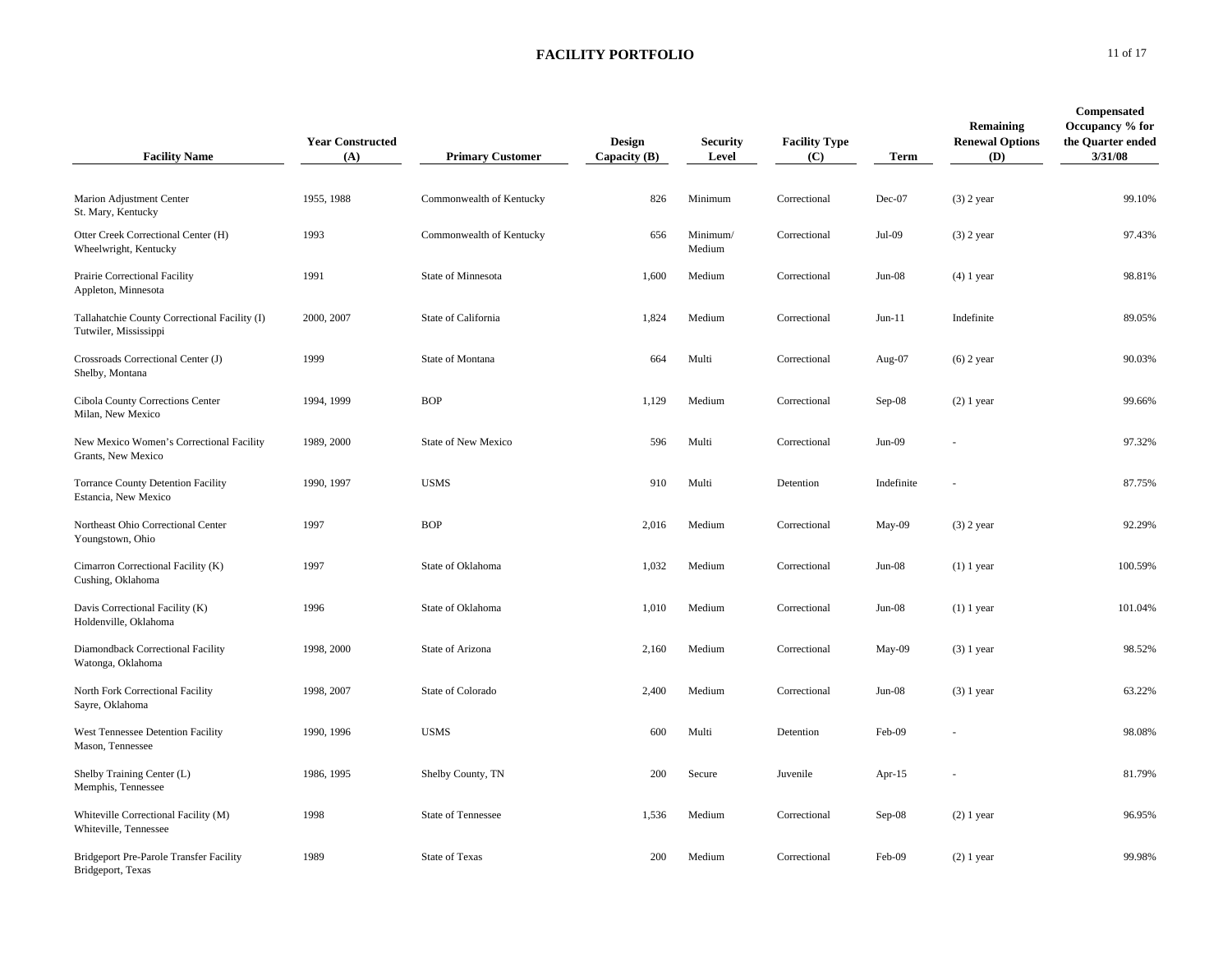| <b>Facility Name</b>                                                   | <b>Year Constructed</b><br>(A) | <b>Primary Customer</b>    | <b>Design</b><br>Capacity (B) | <b>Security</b><br>Level | <b>Facility Type</b><br>(C) | Term       | Remaining<br><b>Renewal Options</b><br>(D) | Compensated<br>Occupancy % for<br>the Quarter ended<br>3/31/08 |
|------------------------------------------------------------------------|--------------------------------|----------------------------|-------------------------------|--------------------------|-----------------------------|------------|--------------------------------------------|----------------------------------------------------------------|
| Marion Adjustment Center<br>St. Mary, Kentucky                         | 1955, 1988                     | Commonwealth of Kentucky   | 826                           | Minimum                  | Correctional                | Dec-07     | $(3)$ 2 year                               | 99.10%                                                         |
| Otter Creek Correctional Center (H)<br>Wheelwright, Kentucky           | 1993                           | Commonwealth of Kentucky   | 656                           | Minimum/<br>Medium       | Correctional                | Jul-09     | $(3)$ 2 year                               | 97.43%                                                         |
| Prairie Correctional Facility<br>Appleton, Minnesota                   | 1991                           | State of Minnesota         | 1,600                         | Medium                   | Correctional                | $Jun-08$   | $(4)$ 1 year                               | 98.81%                                                         |
| Tallahatchie County Correctional Facility (I)<br>Tutwiler, Mississippi | 2000, 2007                     | State of California        | 1,824                         | Medium                   | Correctional                | $Jun-11$   | Indefinite                                 | 89.05%                                                         |
| Crossroads Correctional Center (J)<br>Shelby, Montana                  | 1999                           | State of Montana           | 664                           | Multi                    | Correctional                | Aug-07     | $(6)$ 2 year                               | 90.03%                                                         |
| Cibola County Corrections Center<br>Milan, New Mexico                  | 1994, 1999                     | <b>BOP</b>                 | 1,129                         | Medium                   | Correctional                | Sep-08     | $(2)$ 1 year                               | 99.66%                                                         |
| New Mexico Women's Correctional Facility<br>Grants, New Mexico         | 1989, 2000                     | <b>State of New Mexico</b> | 596                           | Multi                    | Correctional                | Jun-09     |                                            | 97.32%                                                         |
| Torrance County Detention Facility<br>Estancia, New Mexico             | 1990, 1997                     | <b>USMS</b>                | 910                           | Multi                    | Detention                   | Indefinite |                                            | 87.75%                                                         |
| Northeast Ohio Correctional Center<br>Youngstown, Ohio                 | 1997                           | <b>BOP</b>                 | 2,016                         | Medium                   | Correctional                | May-09     | $(3)$ 2 year                               | 92.29%                                                         |
| Cimarron Correctional Facility (K)<br>Cushing, Oklahoma                | 1997                           | State of Oklahoma          | 1,032                         | Medium                   | Correctional                | Jun-08     | $(1)$ 1 year                               | 100.59%                                                        |
| Davis Correctional Facility (K)<br>Holdenville, Oklahoma               | 1996                           | State of Oklahoma          | 1,010                         | Medium                   | Correctional                | Jun-08     | $(1)$ 1 year                               | 101.04%                                                        |
| Diamondback Correctional Facility<br>Watonga, Oklahoma                 | 1998, 2000                     | State of Arizona           | 2,160                         | Medium                   | Correctional                | May-09     | $(3)$ 1 year                               | 98.52%                                                         |
| North Fork Correctional Facility<br>Sayre, Oklahoma                    | 1998, 2007                     | State of Colorado          | 2,400                         | Medium                   | Correctional                | Jun-08     | $(3)$ 1 year                               | 63.22%                                                         |
| West Tennessee Detention Facility<br>Mason, Tennessee                  | 1990, 1996                     | <b>USMS</b>                | 600                           | Multi                    | Detention                   | Feb-09     |                                            | 98.08%                                                         |
| Shelby Training Center (L)<br>Memphis, Tennessee                       | 1986, 1995                     | Shelby County, TN          | 200                           | Secure                   | Juvenile                    | Apr- $15$  |                                            | 81.79%                                                         |
| Whiteville Correctional Facility (M)<br>Whiteville, Tennessee          | 1998                           | State of Tennessee         | 1,536                         | Medium                   | Correctional                | Sep-08     | $(2)$ 1 year                               | 96.95%                                                         |
| Bridgeport Pre-Parole Transfer Facility<br>Bridgeport, Texas           | 1989                           | <b>State of Texas</b>      | 200                           | Medium                   | Correctional                | Feb-09     | $(2)$ 1 year                               | 99.98%                                                         |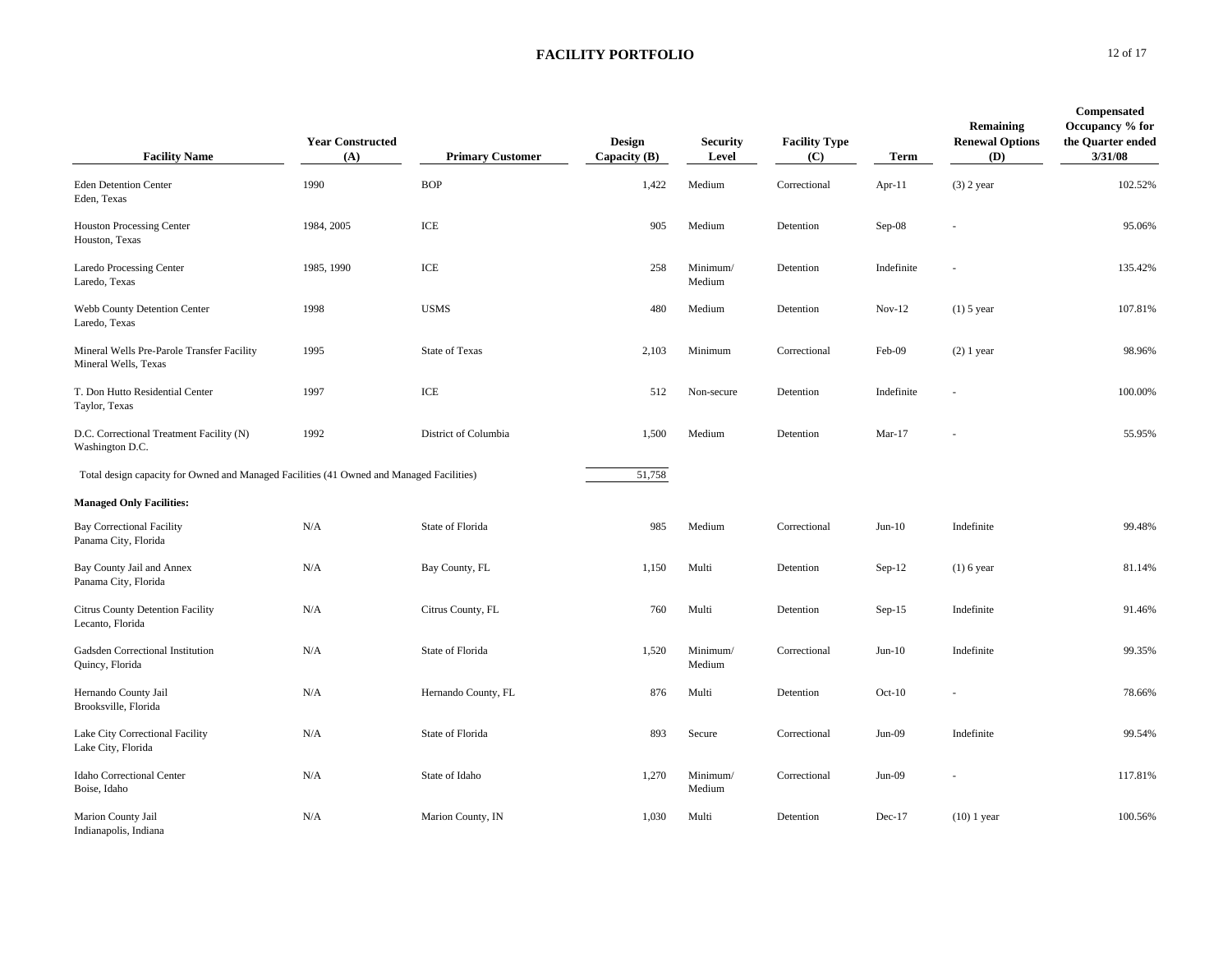| <b>Facility Name</b>                                                                     | <b>Year Constructed</b><br>(A) | <b>Primary Customer</b> | <b>Design</b><br>Capacity $(B)$ | <b>Security</b><br>Level | <b>Facility Type</b><br>(C) | <b>Term</b> | Remaining<br><b>Renewal Options</b><br>(D) | Compensated<br>Occupancy % for<br>the Quarter ended<br>3/31/08 |
|------------------------------------------------------------------------------------------|--------------------------------|-------------------------|---------------------------------|--------------------------|-----------------------------|-------------|--------------------------------------------|----------------------------------------------------------------|
| <b>Eden Detention Center</b><br>Eden, Texas                                              | 1990                           | <b>BOP</b>              | 1,422                           | Medium                   | Correctional                | Apr-11      | $(3)$ 2 year                               | 102.52%                                                        |
| <b>Houston Processing Center</b><br>Houston, Texas                                       | 1984, 2005                     | ICE                     | 905                             | Medium                   | Detention                   | Sep-08      |                                            | 95.06%                                                         |
| Laredo Processing Center<br>Laredo, Texas                                                | 1985, 1990                     | ICE                     | 258                             | Minimum/<br>Medium       | Detention                   | Indefinite  | $\sim$                                     | 135.42%                                                        |
| Webb County Detention Center<br>Laredo, Texas                                            | 1998                           | <b>USMS</b>             | 480                             | Medium                   | Detention                   | $Nov-12$    | $(1)$ 5 year                               | 107.81%                                                        |
| Mineral Wells Pre-Parole Transfer Facility<br>Mineral Wells, Texas                       | 1995                           | <b>State of Texas</b>   | 2,103                           | Minimum                  | Correctional                | Feb-09      | $(2)$ 1 year                               | 98.96%                                                         |
| T. Don Hutto Residential Center<br>Taylor, Texas                                         | 1997                           | ICE                     | 512                             | Non-secure               | Detention                   | Indefinite  |                                            | 100.00%                                                        |
| D.C. Correctional Treatment Facility (N)<br>Washington D.C.                              | 1992                           | District of Columbia    | 1,500                           | Medium                   | Detention                   | $Mar-17$    |                                            | 55.95%                                                         |
| Total design capacity for Owned and Managed Facilities (41 Owned and Managed Facilities) |                                |                         | 51,758                          |                          |                             |             |                                            |                                                                |
| <b>Managed Only Facilities:</b>                                                          |                                |                         |                                 |                          |                             |             |                                            |                                                                |
| <b>Bay Correctional Facility</b><br>Panama City, Florida                                 | N/A                            | State of Florida        | 985                             | Medium                   | Correctional                | $Jun-10$    | Indefinite                                 | 99.48%                                                         |
| Bay County Jail and Annex<br>Panama City, Florida                                        | N/A                            | Bay County, FL          | 1,150                           | Multi                    | Detention                   | $Sep-12$    | $(1)$ 6 year                               | 81.14%                                                         |
| Citrus County Detention Facility<br>Lecanto, Florida                                     | N/A                            | Citrus County, FL       | 760                             | Multi                    | Detention                   | $Sep-15$    | Indefinite                                 | 91.46%                                                         |
| Gadsden Correctional Institution<br>Quincy, Florida                                      | N/A                            | State of Florida        | 1,520                           | Minimum/<br>Medium       | Correctional                | $Jun-10$    | Indefinite                                 | 99.35%                                                         |
| Hernando County Jail<br>Brooksville, Florida                                             | N/A                            | Hernando County, FL     | 876                             | Multi                    | Detention                   | $Oct-10$    |                                            | 78.66%                                                         |
| Lake City Correctional Facility<br>Lake City, Florida                                    | N/A                            | State of Florida        | 893                             | Secure                   | Correctional                | $Jun-09$    | Indefinite                                 | 99.54%                                                         |
| <b>Idaho Correctional Center</b><br>Boise, Idaho                                         | N/A                            | State of Idaho          | 1,270                           | Minimum/<br>Medium       | Correctional                | $Jun-09$    |                                            | 117.81%                                                        |
| Marion County Jail<br>Indianapolis, Indiana                                              | N/A                            | Marion County, IN       | 1,030                           | Multi                    | Detention                   | $Dec-17$    | $(10)$ 1 year                              | 100.56%                                                        |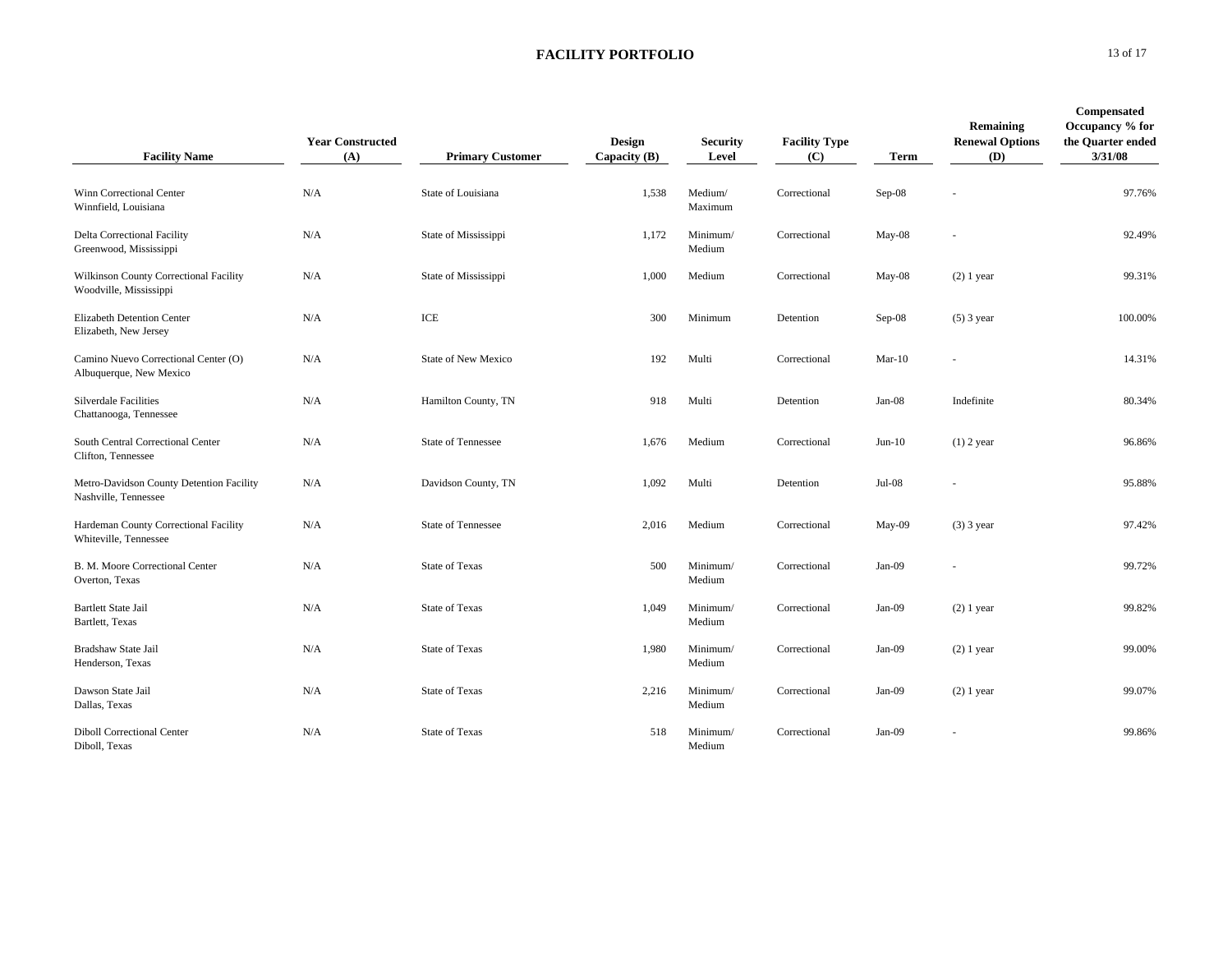| <b>Facility Name</b>                                             | <b>Year Constructed</b><br>(A) | <b>Primary Customer</b>   | <b>Design</b><br>Capacity (B) | Security<br>Level  | <b>Facility Type</b><br>(C) | <b>Term</b> | Remaining<br><b>Renewal Options</b><br>(D) | Compensated<br>Occupancy % for<br>the Quarter ended<br>3/31/08 |
|------------------------------------------------------------------|--------------------------------|---------------------------|-------------------------------|--------------------|-----------------------------|-------------|--------------------------------------------|----------------------------------------------------------------|
| Winn Correctional Center<br>Winnfield, Louisiana                 | N/A                            | State of Louisiana        | 1,538                         | Medium/<br>Maximum | Correctional                | Sep-08      |                                            | 97.76%                                                         |
| Delta Correctional Facility<br>Greenwood, Mississippi            | N/A                            | State of Mississippi      | 1,172                         | Minimum/<br>Medium | Correctional                | May-08      |                                            | 92.49%                                                         |
| Wilkinson County Correctional Facility<br>Woodville, Mississippi | N/A                            | State of Mississippi      | 1,000                         | Medium             | Correctional                | May-08      | $(2)$ 1 year                               | 99.31%                                                         |
| <b>Elizabeth Detention Center</b><br>Elizabeth, New Jersey       | N/A                            | ICE                       | 300                           | Minimum            | Detention                   | $Sep-08$    | $(5)$ 3 year                               | 100.00%                                                        |
| Camino Nuevo Correctional Center (O)<br>Albuquerque, New Mexico  | N/A                            | State of New Mexico       | 192                           | Multi              | Correctional                | $Mar-10$    |                                            | 14.31%                                                         |
| <b>Silverdale Facilities</b><br>Chattanooga, Tennessee           | N/A                            | Hamilton County, TN       | 918                           | Multi              | Detention                   | $Jan-08$    | Indefinite                                 | 80.34%                                                         |
| South Central Correctional Center<br>Clifton, Tennessee          | N/A                            | <b>State of Tennessee</b> | 1,676                         | Medium             | Correctional                | $Jun-10$    | $(1)$ 2 year                               | 96.86%                                                         |
| Metro-Davidson County Detention Facility<br>Nashville, Tennessee | N/A                            | Davidson County, TN       | 1,092                         | Multi              | Detention                   | $Jul-08$    |                                            | 95.88%                                                         |
| Hardeman County Correctional Facility<br>Whiteville, Tennessee   | N/A                            | <b>State of Tennessee</b> | 2,016                         | Medium             | Correctional                | May-09      | $(3)$ 3 year                               | 97.42%                                                         |
| B. M. Moore Correctional Center<br>Overton, Texas                | N/A                            | <b>State of Texas</b>     | 500                           | Minimum/<br>Medium | Correctional                | Jan-09      |                                            | 99.72%                                                         |
| Bartlett State Jail<br>Bartlett, Texas                           | N/A                            | <b>State of Texas</b>     | 1,049                         | Minimum/<br>Medium | Correctional                | Jan-09      | $(2)$ 1 year                               | 99.82%                                                         |
| Bradshaw State Jail<br>Henderson, Texas                          | N/A                            | State of Texas            | 1,980                         | Minimum/<br>Medium | Correctional                | Jan-09      | $(2)$ 1 year                               | 99.00%                                                         |
| Dawson State Jail<br>Dallas, Texas                               | N/A                            | <b>State of Texas</b>     | 2,216                         | Minimum/<br>Medium | Correctional                | Jan-09      | $(2)$ 1 year                               | 99.07%                                                         |
| <b>Diboll Correctional Center</b><br>Diboll, Texas               | N/A                            | State of Texas            | 518                           | Minimum/<br>Medium | Correctional                | $Jan-09$    |                                            | 99.86%                                                         |

**0** 13 of 17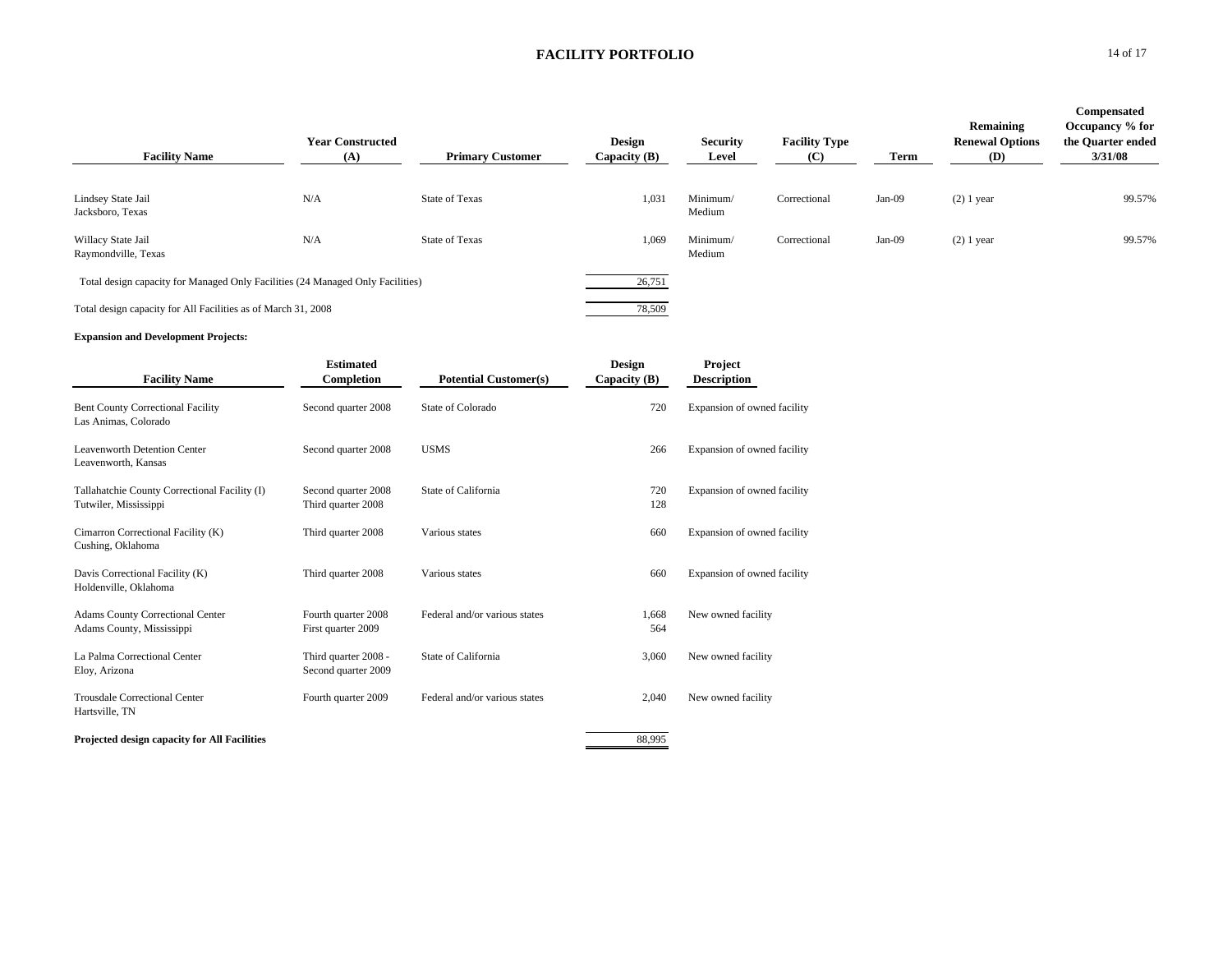| <b>Facility Name</b>                                                           | <b>Year Constructed</b><br>(A) | <b>Primary Customer</b> | Design<br>Capacity $(B)$ | <b>Security</b><br>Level | <b>Facility Type</b><br>(C) | Term     | Remaining<br><b>Renewal Options</b><br><b>(D)</b> | <b>Compensated</b><br>Occupancy % for<br>the Quarter ended<br>3/31/08 |
|--------------------------------------------------------------------------------|--------------------------------|-------------------------|--------------------------|--------------------------|-----------------------------|----------|---------------------------------------------------|-----------------------------------------------------------------------|
| Lindsey State Jail<br>Jacksboro, Texas                                         | N/A                            | State of Texas          | 1,031                    | Minimum/<br>Medium       | Correctional                | $Jan-09$ | $(2)$ 1 year                                      | 99.57%                                                                |
| Willacy State Jail<br>Raymondville, Texas                                      | N/A                            | <b>State of Texas</b>   | 1,069                    | Minimum/<br>Medium       | Correctional                | $Jan-09$ | $(2)$ 1 year                                      | 99.57%                                                                |
| Total design capacity for Managed Only Facilities (24 Managed Only Facilities) |                                |                         | 26,751                   |                          |                             |          |                                                   |                                                                       |
| Total design capacity for All Facilities as of March 31, 2008                  |                                |                         | 78,509                   |                          |                             |          |                                                   |                                                                       |

### **Expansion and Development Projects:**

| <b>Facility Name</b>                                                   | <b>Estimated</b><br>Completion              | <b>Potential Customer(s)</b>  | <b>Design</b><br>Capacity (B) | <b>Project</b><br><b>Description</b> |
|------------------------------------------------------------------------|---------------------------------------------|-------------------------------|-------------------------------|--------------------------------------|
| <b>Bent County Correctional Facility</b><br>Las Animas, Colorado       | Second quarter 2008                         | State of Colorado             | 720                           | Expansion of owned facility          |
| <b>Leavenworth Detention Center</b><br>Leavenworth, Kansas             | Second quarter 2008                         | <b>USMS</b>                   | 266                           | Expansion of owned facility          |
| Tallahatchie County Correctional Facility (I)<br>Tutwiler, Mississippi | Second quarter 2008<br>Third quarter 2008   | State of California           | 720<br>128                    | Expansion of owned facility          |
| Cimarron Correctional Facility (K)<br>Cushing, Oklahoma                | Third quarter 2008                          | Various states                | 660                           | Expansion of owned facility          |
| Davis Correctional Facility (K)<br>Holdenville, Oklahoma               | Third quarter 2008                          | Various states                | 660                           | Expansion of owned facility          |
| <b>Adams County Correctional Center</b><br>Adams County, Mississippi   | Fourth quarter 2008<br>First quarter 2009   | Federal and/or various states | 1,668<br>564                  | New owned facility                   |
| La Palma Correctional Center<br>Eloy, Arizona                          | Third quarter 2008 -<br>Second quarter 2009 | State of California           | 3,060                         | New owned facility                   |
| <b>Trousdale Correctional Center</b><br>Hartsville, TN                 | Fourth quarter 2009                         | Federal and/or various states | 2,040                         | New owned facility                   |
| <b>Projected design capacity for All Facilities</b>                    |                                             |                               | 88.995                        |                                      |

#### **0** 14 of 17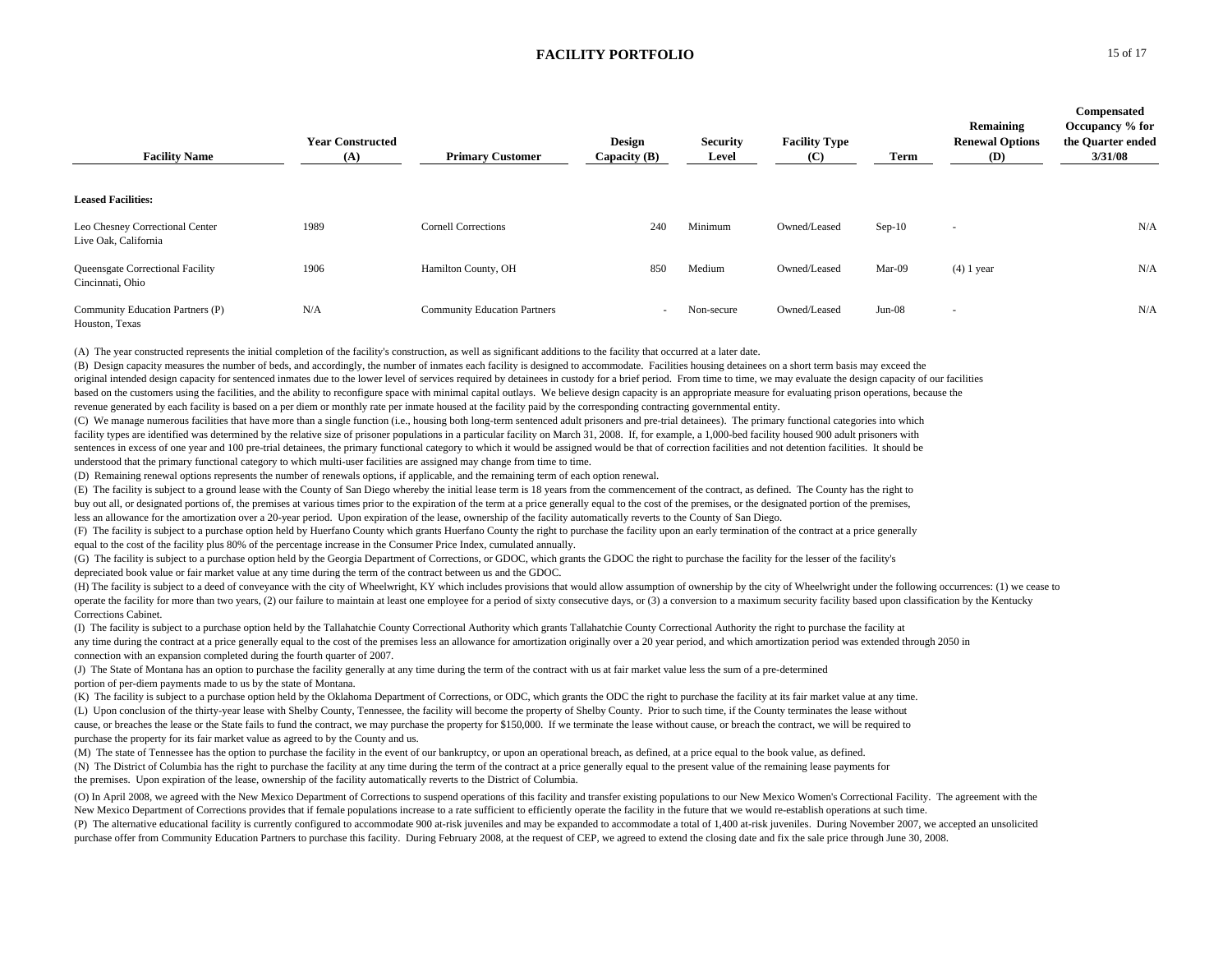| <b>Facility Name</b>                                        | <b>Year Constructed</b><br>(A) | <b>Primary Customer</b>             | <b>Design</b><br>Capacity $(B)$ | <b>Security</b><br>Level | <b>Facility Type</b><br>(C) | Term     | Remaining<br><b>Renewal Options</b><br><b>(D)</b> | Compensated<br>Occupancy % for<br>the Quarter ended<br>3/31/08 |
|-------------------------------------------------------------|--------------------------------|-------------------------------------|---------------------------------|--------------------------|-----------------------------|----------|---------------------------------------------------|----------------------------------------------------------------|
| <b>Leased Facilities:</b>                                   |                                |                                     |                                 |                          |                             |          |                                                   |                                                                |
| Leo Chesney Correctional Center<br>Live Oak, California     | 1989                           | <b>Cornell Corrections</b>          | 240                             | Minimum                  | Owned/Leased                | $Sep-10$ | $\overline{\phantom{a}}$                          | N/A                                                            |
| <b>Queensgate Correctional Facility</b><br>Cincinnati, Ohio | 1906                           | Hamilton County, OH                 | 850                             | Medium                   | Owned/Leased                | Mar-09   | $(4)$ 1 year                                      | N/A                                                            |
| Community Education Partners (P)<br>Houston, Texas          | N/A                            | <b>Community Education Partners</b> | $\overline{\phantom{a}}$        | Non-secure               | Owned/Leased                | $Jun-08$ | $\overline{\phantom{a}}$                          | N/A                                                            |

(A) The year constructed represents the initial completion of the facility's construction, as well as significant additions to the facility that occurred at a later date.

(B) Design capacity measures the number of beds, and accordingly, the number of inmates each facility is designed to accommodate. Facilities housing detainees on a short term basis may exceed the original intended design capacity for sentenced inmates due to the lower level of services required by detainees in custody for a brief period. From time to time, we may evaluate the design capacity of our facilities based on the customers using the facilities, and the ability to reconfigure space with minimal capital outlays. We believe design capacity is an appropriate measure for evaluating prison operations, because the revenue generated by each facility is based on a per diem or monthly rate per inmate housed at the facility paid by the corresponding contracting governmental entity.

(C) We manage numerous facilities that have more than a single function (i.e., housing both long-term sentenced adult prisoners and pre-trial detainees). The primary functional categories into which facility types are identified was determined by the relative size of prisoner populations in a particular facility on March 31, 2008. If, for example, a 1,000-bed facility housed 900 adult prisoners with sentences in excess of one year and 100 pre-trial detainees, the primary functional category to which it would be assigned would be that of correction facilities and not detention facilities. It should be understood that the primary functional category to which multi-user facilities are assigned may change from time to time.

(D) Remaining renewal options represents the number of renewals options, if applicable, and the remaining term of each option renewal.

(E) The facility is subject to a ground lease with the County of San Diego whereby the initial lease term is 18 years from the commencement of the contract, as defined. The County has the right to

buy out all, or designated portions of, the premises at various times prior to the expiration of the term at a price generally equal to the cost of the premises, or the designated portion of the premises, less an allowance for the amortization over a 20-year period. Upon expiration of the lease, ownership of the facility automatically reverts to the County of San Diego.

(F) The facility is subject to a purchase option held by Huerfano County which grants Huerfano County the right to purchase the facility upon an early termination of the contract at a price generally equal to the cost of the facility plus 80% of the percentage increase in the Consumer Price Index, cumulated annually.

(G) The facility is subject to a purchase option held by the Georgia Department of Corrections, or GDOC, which grants the GDOC the right to purchase the facility for the lesser of the facility's depreciated book value or fair market value at any time during the term of the contract between us and the GDOC.

(H) The facility is subject to a deed of conveyance with the city of Wheelwright, KY which includes provisions that would allow assumption of ownership by the city of Wheelwright under the following occurrences: (1) we cea operate the facility for more than two years, (2) our failure to maintain at least one employee for a period of sixty consecutive days, or (3) a conversion to a maximum security facility based upon classification by the Ke Corrections Cabinet.

(I) The facility is subject to a purchase option held by the Tallahatchie County Correctional Authority which grants Tallahatchie County Correctional Authority the right to purchase the facility at any time during the contract at a price generally equal to the cost of the premises less an allowance for amortization originally over a 20 year period, and which amortization period was extended through 2050 in connection with an expansion completed during the fourth quarter of 2007.

(J) The State of Montana has an option to purchase the facility generally at any time during the term of the contract with us at fair market value less the sum of a pre-determined portion of per-diem payments made to us by the state of Montana.

(K) The facility is subject to a purchase option held by the Oklahoma Department of Corrections, or ODC, which grants the ODC the right to purchase the facility at its fair market value at any time. (L) Upon conclusion of the thirty-year lease with Shelby County, Tennessee, the facility will become the property of Shelby County. Prior to such time, if the County terminates the lease without cause, or breaches the lease or the State fails to fund the contract, we may purchase the property for \$150,000. If we terminate the lease without cause, or breach the contract, we will be required to purchase the property for its fair market value as agreed to by the County and us.

(M) The state of Tennessee has the option to purchase the facility in the event of our bankruptcy, or upon an operational breach, as defined, at a price equal to the book value, as defined. (N) The District of Columbia has the right to purchase the facility at any time during the term of the contract at a price generally equal to the present value of the remaining lease payments for the premises. Upon expiration of the lease, ownership of the facility automatically reverts to the District of Columbia.

(O) In April 2008, we agreed with the New Mexico Department of Corrections to suspend operations of this facility and transfer existing populations to our New Mexico Women's Correctional Facility. The agreement with the New Mexico Department of Corrections provides that if female populations increase to a rate sufficient to efficiently operate the facility in the future that we would re-establish operations at such time.

(P) The alternative educational facility is currently configured to accommodate 900 at-risk juveniles and may be expanded to accommodate a total of 1,400 at-risk juveniles. During November 2007, we accepted an unsolicited purchase offer from Community Education Partners to purchase this facility. During February 2008, at the request of CEP, we agreed to extend the closing date and fix the sale price through June 30, 2008.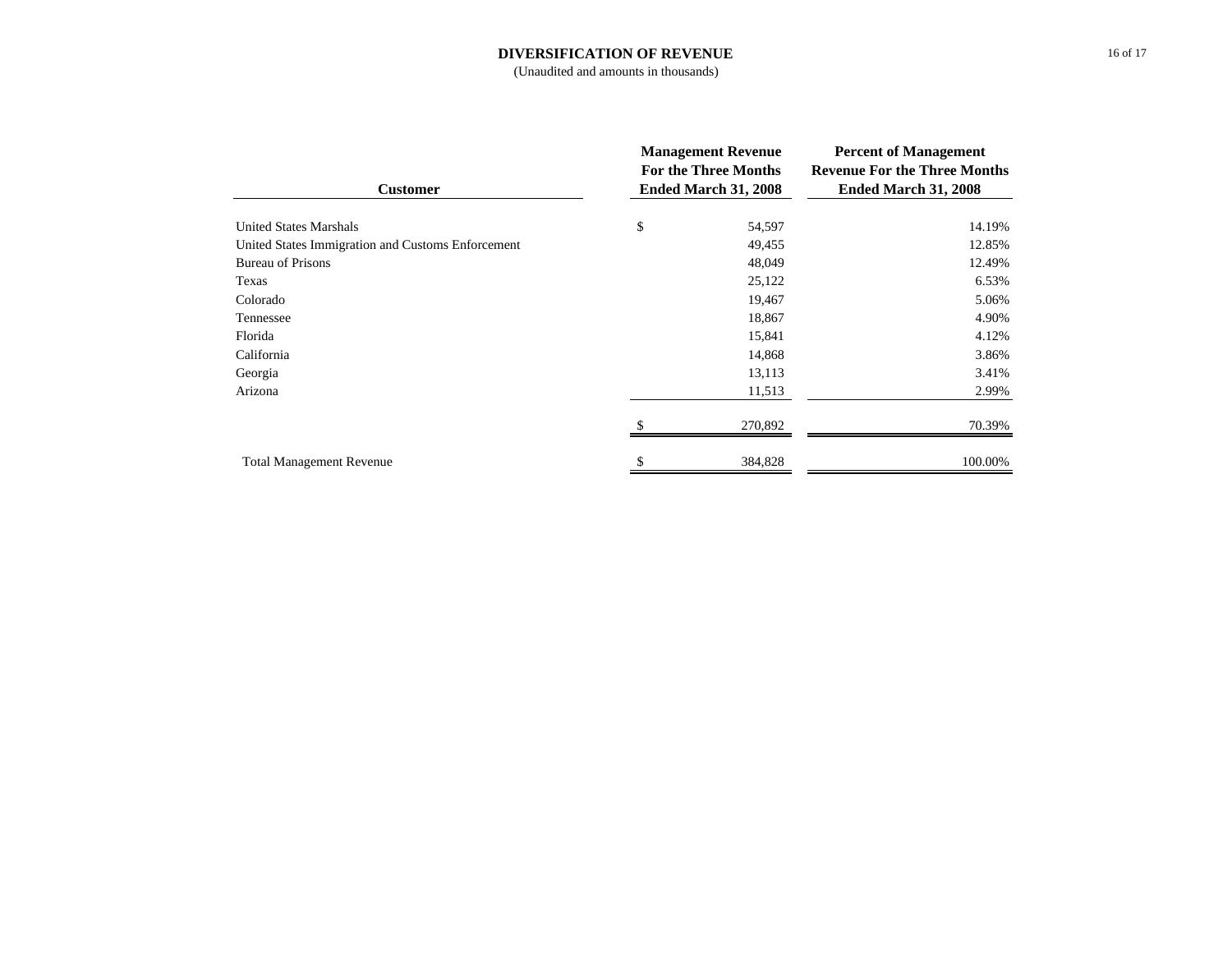#### **DIVERSIFICATION OF REVENUE**

## (Unaudited and amounts in thousands)

| <b>Customer</b>                                   | <b>Management Revenue</b><br><b>For the Three Months</b><br>Ended March 31, 2008 |         | <b>Percent of Management</b><br><b>Revenue For the Three Months</b><br>Ended March 31, 2008 |  |
|---------------------------------------------------|----------------------------------------------------------------------------------|---------|---------------------------------------------------------------------------------------------|--|
| <b>United States Marshals</b>                     | \$                                                                               | 54,597  | 14.19%                                                                                      |  |
| United States Immigration and Customs Enforcement |                                                                                  | 49,455  | 12.85%                                                                                      |  |
| <b>Bureau of Prisons</b>                          |                                                                                  | 48,049  | 12.49%                                                                                      |  |
| Texas                                             |                                                                                  | 25,122  | 6.53%                                                                                       |  |
| Colorado                                          |                                                                                  | 19,467  | 5.06%                                                                                       |  |
| Tennessee                                         |                                                                                  | 18,867  | 4.90%                                                                                       |  |
| Florida                                           |                                                                                  | 15,841  | 4.12%                                                                                       |  |
| California                                        |                                                                                  | 14,868  | 3.86%                                                                                       |  |
| Georgia                                           |                                                                                  | 13,113  | 3.41%                                                                                       |  |
| Arizona                                           |                                                                                  | 11,513  | 2.99%                                                                                       |  |
|                                                   |                                                                                  | 270,892 | 70.39%                                                                                      |  |
| <b>Total Management Revenue</b>                   | S                                                                                | 384,828 | 100.00%                                                                                     |  |